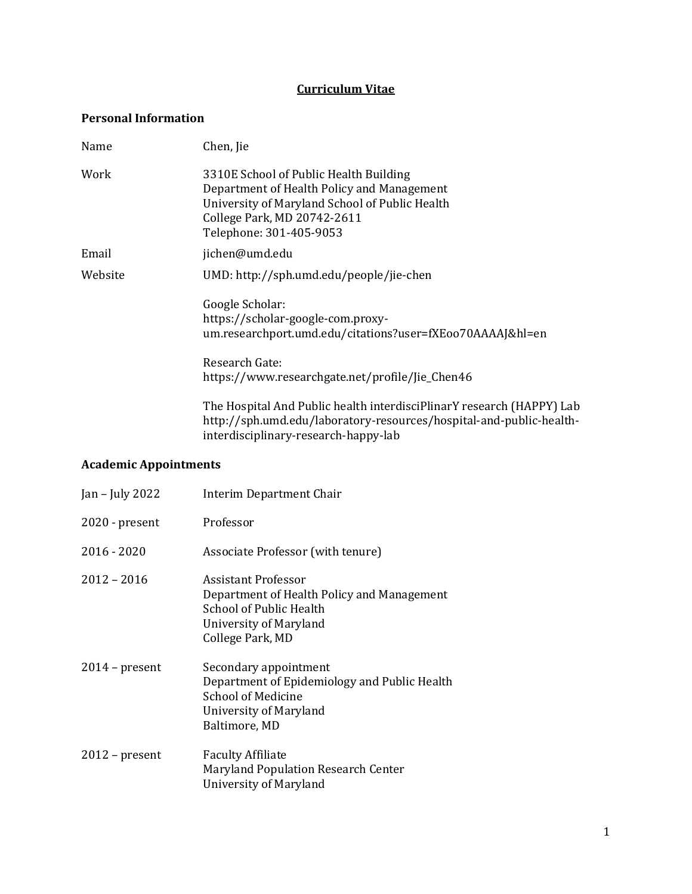## **Curriculum Vitae**

#### **Personal Information**

| Name    | Chen, Jie                                                                                                                                                                                        |
|---------|--------------------------------------------------------------------------------------------------------------------------------------------------------------------------------------------------|
| Work    | 3310E School of Public Health Building<br>Department of Health Policy and Management<br>University of Maryland School of Public Health<br>College Park, MD 20742-2611<br>Telephone: 301-405-9053 |
| Email   | jichen@umd.edu                                                                                                                                                                                   |
| Website | UMD: http://sph.umd.edu/people/jie-chen                                                                                                                                                          |
|         | Google Scholar:<br>https://scholar-google-com.proxy-<br>um.researchport.umd.edu/citations?user=fXE0070AAAAJ&hl=en                                                                                |
|         | Research Gate:<br>https://www.researchgate.net/profile/Jie_Chen46                                                                                                                                |
|         | The Hospital And Public health interdisciPlinarY research (HAPPY) Lab<br>http://sph.umd.edu/laboratory-resources/hospital-and-public-health-<br>interdisciplinary-research-happy-lab             |

## **Academic Appointments**

| Jan – July 2022  | Interim Department Chair                                                                                                                             |
|------------------|------------------------------------------------------------------------------------------------------------------------------------------------------|
| $2020$ - present | Professor                                                                                                                                            |
| $2016 - 2020$    | Associate Professor (with tenure)                                                                                                                    |
| $2012 - 2016$    | Assistant Professor<br>Department of Health Policy and Management<br>School of Public Health<br>University of Maryland<br>College Park, MD           |
| $2014$ – present | Secondary appointment<br>Department of Epidemiology and Public Health<br><b>School of Medicine</b><br><b>University of Maryland</b><br>Baltimore, MD |
| $2012$ – present | <b>Faculty Affiliate</b><br>Maryland Population Research Center<br>University of Maryland                                                            |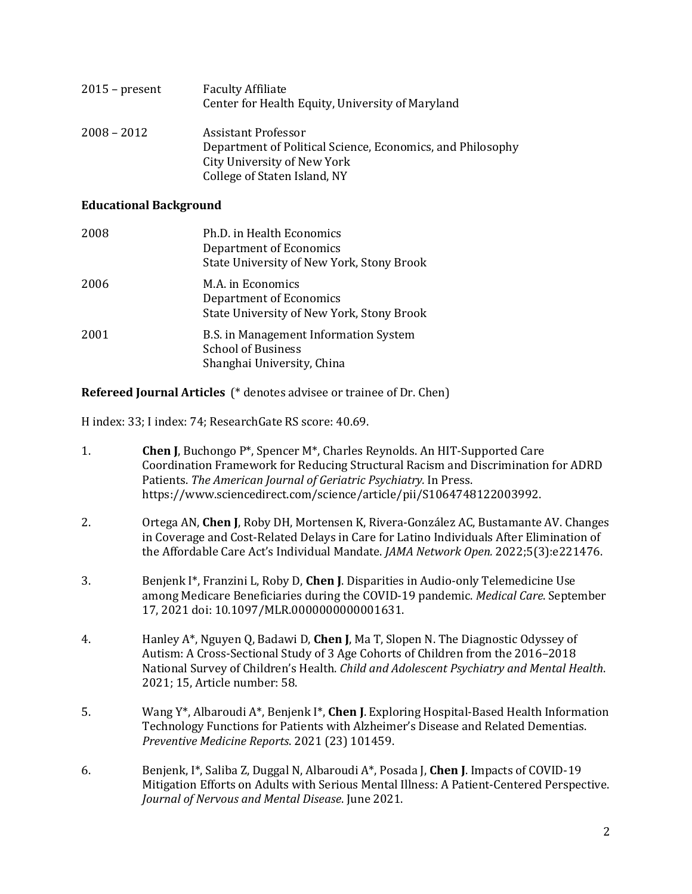| $2015$ – present | <b>Faculty Affiliate</b><br>Center for Health Equity, University of Maryland                                                                     |
|------------------|--------------------------------------------------------------------------------------------------------------------------------------------------|
| $2008 - 2012$    | Assistant Professor<br>Department of Political Science, Economics, and Philosophy<br>City University of New York<br>College of Staten Island, NY |

#### **Educational Background**

| 2008 | Ph.D. in Health Economics<br><b>Department of Economics</b><br>State University of New York, Stony Brook |
|------|----------------------------------------------------------------------------------------------------------|
| 2006 | M.A. in Economics<br>Department of Economics<br>State University of New York, Stony Brook                |
| 2001 | B.S. in Management Information System<br><b>School of Business</b><br>Shanghai University, China         |

**Refereed Journal Articles** (\* denotes advisee or trainee of Dr. Chen)

H index: 33; I index: 74; ResearchGate RS score: 40.69.

- 1. **Chen J**, Buchongo P\*, Spencer M\*, Charles Reynolds. An HIT-Supported Care Coordination Framework for Reducing Structural Racism and Discrimination for ADRD Patients. *The American Journal of Geriatric Psychiatry.* In Press. https://www.sciencedirect.com/science/article/pii/S1064748122003992.
- 2. Ortega AN, **Chen J**, Roby DH, Mortensen K, Rivera-González AC, Bustamante AV. Changes in Coverage and Cost-Related Delays in Care for Latino Individuals After Elimination of the Affordable Care Act's Individual Mandate. *JAMA Network Open.* 2022;5(3):e221476.
- 3. Benjenk I\*, Franzini L, Roby D, **Chen J**. Disparities in Audio-only Telemedicine Use among Medicare Beneficiaries during the COVID-19 pandemic. *Medical Care*. September 17, 2021 doi: 10.1097/MLR.0000000000001631.
- 4. Hanley A\*, Nguyen Q, Badawi D, **Chen J**, Ma T, Slopen N. The Diagnostic Odyssey of Autism: A Cross-Sectional Study of 3 Age Cohorts of Children from the 2016–2018 National Survey of Children's Health. *Child and Adolescent Psychiatry and Mental Health*. 2021; 15, Article number: 58.
- 5. Wang Y\*, Albaroudi A\*, Benjenk I\*, **Chen J**. Exploring Hospital-Based Health Information Technology Functions for Patients with Alzheimer's Disease and Related Dementias. *Preventive Medicine Reports*. 2021 (23) 101459.
- 6. Benjenk, I\*, Saliba Z, Duggal N, Albaroudi A\*, Posada J, **Chen J**. Impacts of COVID-19 Mitigation Efforts on Adults with Serious Mental Illness: A Patient-Centered Perspective. *Journal of Nervous and Mental Disease*. June 2021.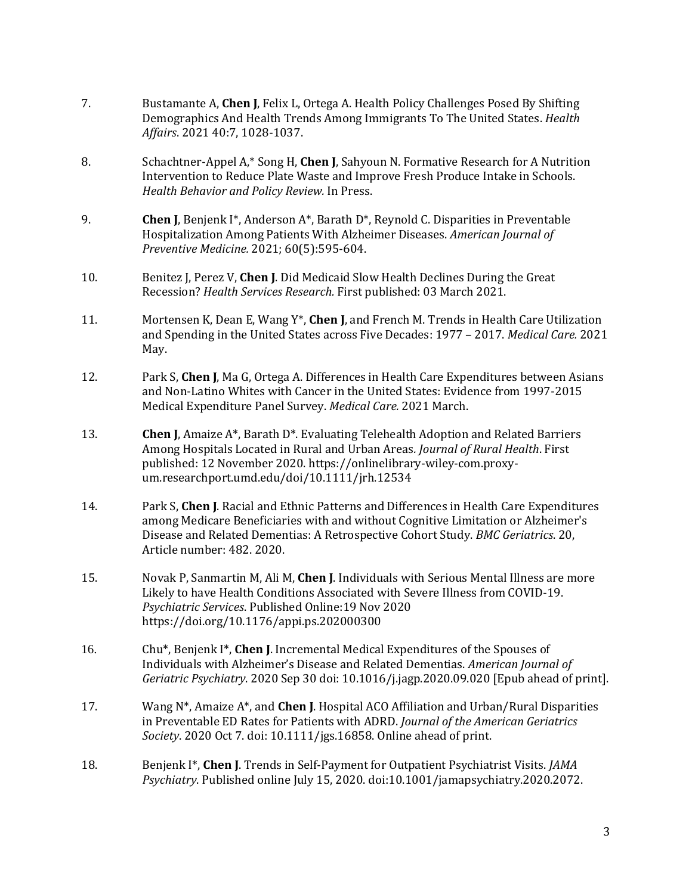- 7. Bustamante A, **Chen J**, Felix L, Ortega A[. Health Policy Challenges Posed By Shifting](https://www.healthaffairs.org/doi/abs/10.1377/hlthaff.2021.00037)  [Demographics And Health Trends Among Immigrants To The United States.](https://www.healthaffairs.org/doi/abs/10.1377/hlthaff.2021.00037) *Health Affairs*. 2021 40:7, 1028-1037.
- 8. Schachtner-Appel A,\* Song H, **Chen J**, Sahyoun N. Formative Research for A Nutrition Intervention to Reduce Plate Waste and Improve Fresh Produce Intake in Schools. *Health Behavior and Policy Review.* In Press.
- 9. **Chen J**, Benjenk I\*, Anderson A\*, Barath D\*, Reynold C. Disparities in Preventable Hospitalization Among Patients With Alzheimer Diseases. *American Journal of Preventive Medicine.* 2021; 60(5):595-604.
- 10. Benitez J, Perez V, **Chen J**. Did Medicaid Slow Health Declines During the Great Recession? *Health Services Research.* First published: 03 March 2021.
- 11. Mortensen K, Dean E, Wang Y\*, **Chen J**, and French M. Trends in Health Care Utilization and Spending in the United States across Five Decades: 1977 – 2017. *Medical Care.* 2021 May.
- 12. Park S, **Chen J**, Ma G, Ortega A. Differences in Health Care Expenditures between Asians and Non-Latino Whites with Cancer in the United States: Evidence from 1997-2015 Medical Expenditure Panel Survey. *Medical Care.* 2021 March.
- 13. **Chen J**, Amaize A\*, Barath D\*. Evaluating Telehealth Adoption and Related Barriers Among Hospitals Located in Rural and Urban Areas*. Journal of Rural Health*. First published: 12 November 2020. https://onlinelibrary-wiley-com.proxyum.researchport.umd.edu/doi/10.1111/jrh.12534
- 14. Park S, **Chen J**. Racial and Ethnic Patterns and Differences in Health Care Expenditures among Medicare Beneficiaries with and without Cognitive Limitation or Alzheimer's Disease and Related Dementias: A Retrospective Cohort Study. *BMC Geriatrics*. 20, Article number: 482. 2020.
- 15. Novak P, Sanmartin M, Ali M, **Chen J**. Individuals with Serious Mental Illness are more Likely to have Health Conditions Associated with Severe Illness from COVID-19. *Psychiatric Services*. Published Online:19 Nov 2020 <https://doi.org/10.1176/appi.ps.202000300>
- 16. Chu\*, Benjenk I\*, **Chen J**. Incremental Medical Expenditures of the Spouses of Individuals with Alzheimer's Disease and Related Dementias. *American Journal of Geriatric Psychiatry*. 2020 Sep 30 doi: 10.1016/j.jagp.2020.09.020 [Epub ahead of print].
- 17. Wang N\*, Amaize A\*, and **Chen J**. Hospital ACO Affiliation and Urban/Rural Disparities in Preventable ED Rates for Patients with ADRD. *Journal of the American Geriatrics Society*. 2020 Oct 7. doi: 10.1111/jgs.16858. Online ahead of print.
- 18. Benjenk I\*, **Chen J**. Trends in Self-Payment for Outpatient Psychiatrist Visits. *JAMA Psychiatry*. Published online July 15, 2020. doi:10.1001/jamapsychiatry.2020.2072.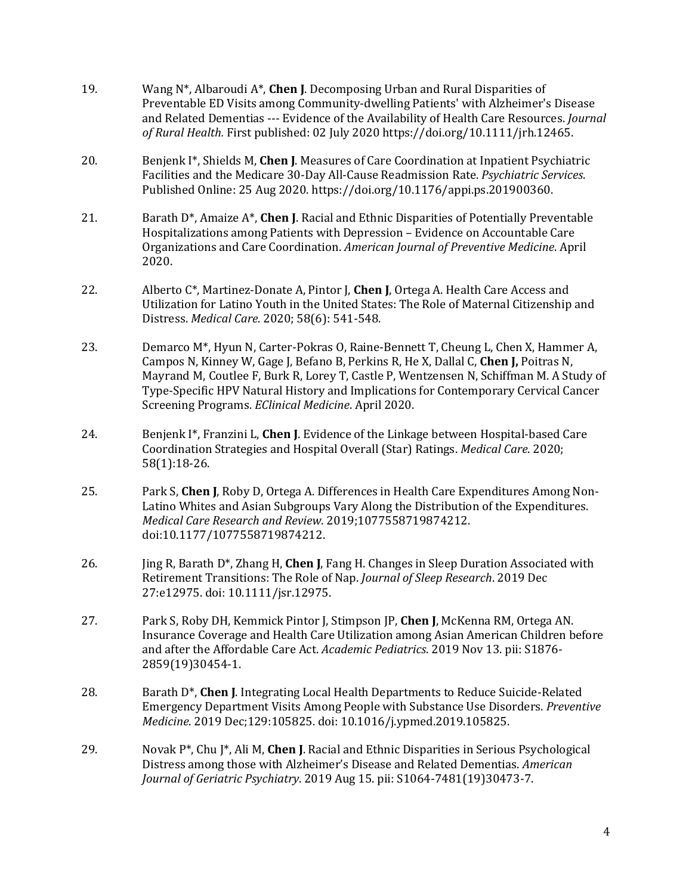- 19. Wang N\*, Albaroudi A\*, **Chen J**. Decomposing Urban and Rural Disparities of Preventable ED Visits among Community-dwelling Patients' with Alzheimer's Disease and Related Dementias --- Evidence of the Availability of Health Care Resources. *Journal of Rural Health.* First published: 02 July 2020 https://doi.org/10.1111/jrh.12465.
- 20. Benjenk I\*, Shields M, **Chen J**. Measures of Care Coordination at Inpatient Psychiatric Facilities and the Medicare 30-Day All-Cause Readmission Rate. *Psychiatric Services*. Published Online: 25 Aug 2020[. https://doi.org/10.1176/appi.ps.201900360.](https://doi.org/10.1176/appi.ps.201900360)
- 21. Barath D\*, Amaize A\*, **Chen J**. Racial and Ethnic Disparities of Potentially Preventable Hospitalizations among Patients with Depression – Evidence on Accountable Care Organizations and Care Coordination. *American Journal of Preventive Medicine*. April 2020.
- 22. Alberto C\*, Martinez-Donate A, Pintor J, **Chen J**, Ortega A. Health Care Access and Utilization for Latino Youth in the United States: The Role of Maternal Citizenship and Distress. *Medical Care.* 2020; 58(6): 541-548.
- 23. Demarco M\*, Hyun N, Carter-Pokras O, Raine-Bennett T, Cheung L, Chen X, Hammer A, Campos N, Kinney W, Gage J, Befano B, Perkins R, He X, Dallal C, **Chen J,** Poitras N, Mayrand M, Coutlee F, Burk R, Lorey T, Castle P, Wentzensen N, Schiffman M. A Study of Type-Specific HPV Natural History and Implications for Contemporary Cervical Cancer Screening Programs. *EClinical Medicine*. April 2020.
- 24. Benjenk I\*, Franzini L, **Chen J**. Evidence of the Linkage between Hospital-based Care Coordination Strategies and Hospital Overall (Star) Ratings. *Medical Care*. 2020; 58(1):18-26.
- 25. Park S, **Chen J**, Roby D, Ortega A. Differences in Health Care Expenditures Among Non-Latino Whites and Asian Subgroups Vary Along the Distribution of the Expenditures. *Medical Care Research and Review*. 2019;1077558719874212. doi:10.1177/1077558719874212.
- 26. Jing R, Barath D\*, Zhang H, **Chen J**, Fang H. Changes in Sleep Duration Associated with Retirement Transitions: The Role of Nap. *Journal of Sleep Research*. 2019 Dec 27:e12975. doi: [10.1111/jsr.12975.](http://sfx.umd.edu/cp?url_ver=Z39.88-2004&rft_val_fmt=info:ofi/fmt:kev:mtx:journal&__char_set=utf8&rft_id=info:doi/10.1111/jsr.12975&rfr_id=info:sid/libx%3Ausmai&rft.genre=article)
- 27. Park S, Roby DH, Kemmick Pintor J, Stimpson JP, **Chen J**, McKenna RM, Ortega AN. Insurance Coverage and Health Care Utilization among Asian American Children before and after the Affordable Care Act. *Academic Pediatrics*. 2019 Nov 13. pii: S1876- 2859(19)30454-1.
- 28. Barath D\*, **Chen J**. Integrating Local Health Departments to Reduce Suicide-Related Emergency Department Visits Among People with Substance Use Disorders. *Preventive Medicine*. 2019 Dec;129:105825. doi: [10.1016/j.ypmed.2019.105825.](http://sfx.umd.edu/cp?url_ver=Z39.88-2004&rft_val_fmt=info:ofi/fmt:kev:mtx:journal&__char_set=utf8&rft_id=info:doi/10.1016/j.ypmed.2019.105825&rfr_id=info:sid/libx%3Ausmai&rft.genre=article)
- 29. Novak P\*, Chu J\*, Ali M, **Chen J**. Racial and Ethnic Disparities in Serious Psychological Distress among those with Alzheimer's Disease and Related Dementias. *American Journal of Geriatric Psychiatry*. 2019 Aug 15. pii: S1064-7481(19)30473-7.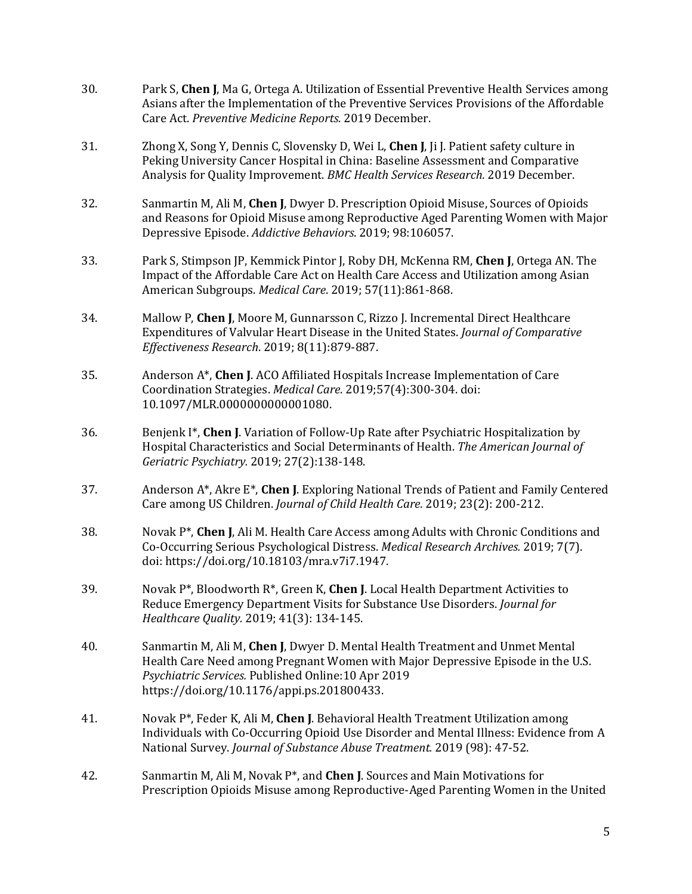- 30. Park S, **Chen J**, Ma G, Ortega A. Utilization of Essential Preventive Health Services among Asians after the Implementation of the Preventive Services Provisions of the Affordable Care Act. *Preventive Medicine Reports.* 2019 December.
- 31. Zhong X, Song Y, Dennis C, Slovensky D, Wei L, **Chen J**, Ji J. Patient safety culture in Peking University Cancer Hospital in China: Baseline Assessment and Comparative Analysis for Quality Improvement. *BMC Health Services Research.* 2019 December.
- 32. Sanmartin M, Ali M, **Chen J**, Dwyer D. Prescription Opioid Misuse, Sources of Opioids and Reasons for Opioid Misuse among Reproductive Aged Parenting Women with Major Depressive Episode. *Addictive Behaviors*. 2019; 98:106057.
- 33. Park S, Stimpson JP, Kemmick Pintor J, Roby DH, McKenna RM, **Chen J**, Ortega AN. The Impact of the Affordable Care Act on Health Care Access and Utilization among Asian American Subgroups. *Medical Care*. 2019; 57(11):861-868.
- 34. Mallow P, **Chen J**, Moore M, Gunnarsson C, Rizzo J. Incremental Direct Healthcare Expenditures of Valvular Heart Disease in the United States. *Journal of Comparative Effectiveness Research*. 2019; 8(11):879-887.
- 35. Anderson A\*, **Chen J**. ACO Affiliated Hospitals Increase Implementation of Care Coordination Strategies. *Medical Care*. 2019;57(4):300-304. doi: 10.1097/MLR.0000000000001080.
- 36. Benjenk I\*, **Chen J**. Variation of Follow-Up Rate after Psychiatric Hospitalization by Hospital Characteristics and Social Determinants of Health. *The American Journal of Geriatric Psychiatry.* 2019; 27(2):138-148.
- 37. Anderson A\*, Akre E\*, **Chen J**. Exploring National Trends of Patient and Family Centered Care among US Children. *Journal of Child Health Care*. 2019; 23(2): 200-212.
- 38. Novak P\*, **Chen J**, Ali M. Health Care Access among Adults with Chronic Conditions and Co-Occurring Serious Psychological Distress. *Medical Research Archives.* 2019; 7(7). doi: [https://doi.org/10.18103/mra.v7i7.1947.](https://doi.org/10.18103/mra.v7i7.1947)
- 39. Novak P\*, Bloodworth R\*, Green K, **Chen J**. Local Health Department Activities to Reduce Emergency Department Visits for Substance Use Disorders. *Journal for Healthcare Quality.* 2019; 41(3): 134-145.
- 40. Sanmartin M, Ali M, **Chen J**, Dwyer D. Mental Health Treatment and Unmet Mental Health Care Need among Pregnant Women with Major Depressive Episode in the U.S. *Psychiatric Services.* Published Online:10 Apr 2019 [https://doi.org/10.1176/appi.ps.201800433.](https://doi.org/10.1176/appi.ps.201800433)
- 41. Novak P\*, Feder K, Ali M, **Chen J**. Behavioral [Health Treatment Utilization among](https://scholar.google.com/scholar?oi=bibs&cluster=450046997215151317&btnI=1&hl=en)  Individuals with [Co-Occurring Opioid Use Disorder](https://scholar.google.com/scholar?oi=bibs&cluster=450046997215151317&btnI=1&hl=en) and Mental Illness: Evidence from A [National Survey.](https://scholar.google.com/scholar?oi=bibs&cluster=450046997215151317&btnI=1&hl=en) *Journal of Substance Abuse Treatment.* 2019 (98): 47-52.
- 42. Sanmartin M, Ali M, Novak P\*, and **Chen J**. Sources and Main Motivations for Prescription Opioids Misuse among Reproductive-Aged Parenting Women in the United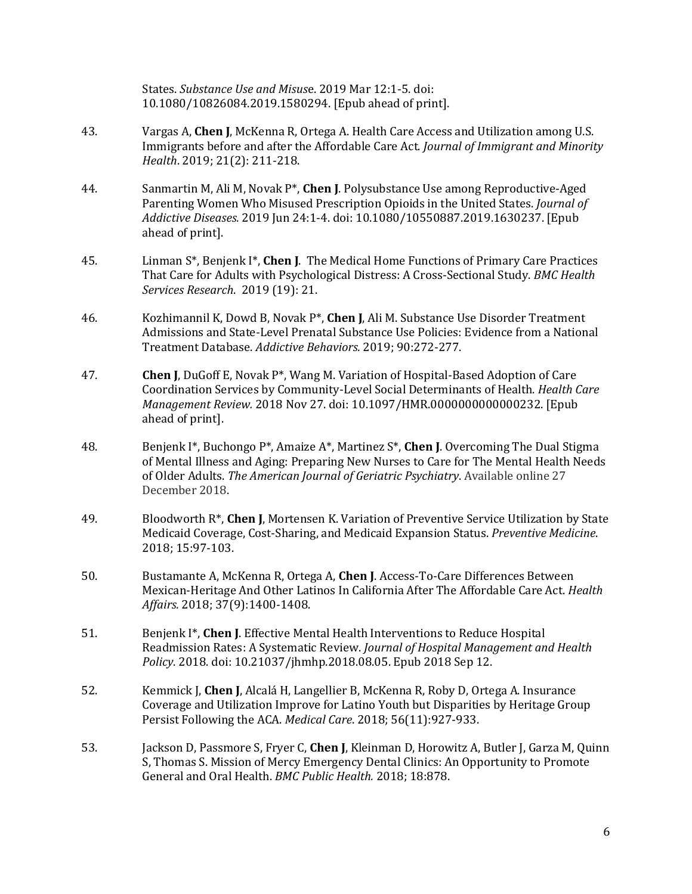States. *Substance Use and Misus*e. 2019 Mar 12:1-5. doi: 10.1080/10826084.2019.1580294. [Epub ahead of print].

- 43. Vargas A, **Chen J**, McKenna R, Ortega A. Health Care Access and Utilization among U.S. Immigrants before and after the Affordable Care Act. *Journal of Immigrant and Minority Health*. 2019; 21(2): 211-218.
- 44. Sanmartin M, Ali M, Novak P\*, **Chen J**. Polysubstance Use among Reproductive-Aged Parenting Women Who Misused Prescription Opioids in the United States. *Journal of Addictive Diseases.* 2019 Jun 24:1-4. doi: 10.1080/10550887.2019.1630237. [Epub ahead of print].
- 45. Linman S\*, Benjenk I\*, **Chen J**. The Medical Home Functions of Primary Care Practices That Care for Adults with Psychological Distress: A Cross-Sectional Study. *BMC Health Services Research*. 2019 (19): 21.
- 46. Kozhimannil K, Dowd B, Novak P\*, **Chen J**, Ali M. Substance Use Disorder Treatment Admissions and State-Level Prenatal Substance Use Policies: Evidence from a National Treatment Database. *Addictive Behaviors.* 2019; 90:272-277.
- 47. **Chen J**, DuGoff E, Novak P\*, Wang M. Variation of Hospital-Based Adoption of Care Coordination Services by Community-Level Social Determinants of Health. *Health Care Management Review.* 2018 Nov 27. doi: 10.1097/HMR.0000000000000232. [Epub ahead of print].
- 48. Benjenk I\*, Buchongo P\*, Amaize A\*, Martinez S\*, **Chen J**. Overcoming The Dual Stigma of Mental Illness and Aging: Preparing New Nurses to Care for The Mental Health Needs of Older Adults. *The American Journal of Geriatric Psychiatry*. Available online 27 December 2018.
- 49. Bloodworth R\*, **Chen J**, Mortensen K. Variation of Preventive Service Utilization by State Medicaid Coverage, Cost-Sharing, and Medicaid Expansion Status. *Preventive Medicine*. 2018; 15:97-103.
- 50. Bustamante A, McKenna R, Ortega A, **Chen J**. [Access-To-Care Differences Between](https://www-healthaffairs-org.proxy-um.researchport.umd.edu/doi/abs/10.1377/hlthaff.2018.0416)  [Mexican-Heritage And Other Latinos In California After The Affordable Care Act.](https://www-healthaffairs-org.proxy-um.researchport.umd.edu/doi/abs/10.1377/hlthaff.2018.0416) *Health Affairs.* 2018; 37(9):1400-1408.
- 51. Benjenk I\*, **Chen J**. Effective Mental Health Interventions to Reduce Hospital Readmission Rates: A Systematic Review. *Journal of Hospital Management and Health Policy*. 2018. doi: [10.21037/jhmhp.2018.08.05.](http://sfx.umd.edu/cp?url_ver=Z39.88-2004&rft_val_fmt=info:ofi/fmt:kev:mtx:journal&__char_set=utf8&rft_id=info:doi/10.21037/jhmhp.2018.08.05&rfr_id=info:sid/libx%3Ausmai&rft.genre=article) Epub 2018 Sep 12.
- 52. Kemmick J, **Chen J**, Alcalá H, Langellier B, McKenna R, Roby D, Ortega A. Insurance Coverage and Utilization Improve for Latino Youth but Disparities by Heritage Group Persist Following the ACA. *Medical Care*. 2018; 56(11):927-933.
- 53. Jackson D, Passmore S, Fryer C, **Chen J**, Kleinman D, Horowitz A, Butler J, Garza M, Quinn S, Thomas S. Mission of Mercy Emergency Dental Clinics: An Opportunity to Promote General and Oral Health. *BMC Public Health.* 2018; 18:878.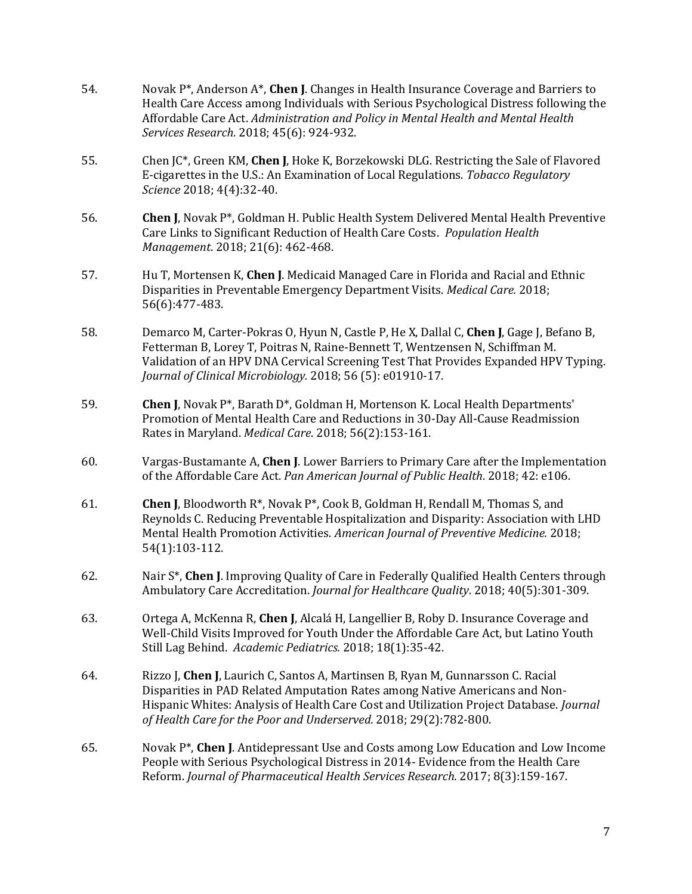- 54. Novak P\*, Anderson A\*, **Chen J**. Changes in Health Insurance Coverage and Barriers to Health Care Access among Individuals with Serious Psychological Distress following the Affordable Care Act. *Administration and Policy in Mental Health and Mental Health Services Research.* 2018; 45(6): 924-932.
- 55. Chen JC\*, Green KM, **Chen J**, Hoke K, Borzekowski DLG. Restricting the Sale of Flavored E-cigarettes in the U.S.: An Examination of Local Regulations. *Tobacco Regulatory Science* 2018; 4(4):32-40.
- 56. **Chen J**, Novak P\*, Goldman H. Public Health System Delivered Mental Health Preventive Care Links to Significant Reduction of Health Care Costs. *Population Health Management*. 2018; 21(6): 462-468.
- 57. Hu T, Mortensen K, **Chen J**. Medicaid Managed Care in Florida and Racial and Ethnic Disparities in Preventable Emergency Department Visits. *Medical Care.* 2018; 56(6):477-483.
- 58. Demarco M, Carter-Pokras O, Hyun N, Castle P, He X, Dallal C, **Chen J**, Gage J, Befano B, Fetterman B, Lorey T, Poitras N, Raine-Bennett T, Wentzensen N, Schiffman M. Validation of an HPV DNA Cervical Screening Test That Provides Expanded HPV Typing. *Journal of Clinical Microbiology.* 2018; 56 (5): e01910-17.
- 59. **Chen J**, Novak P\*, Barath D\*, Goldman H, Mortenson K. Local Health Departments' Promotion of Mental Health Care and Reductions in 30-Day All-Cause Readmission Rates in Maryland. *Medical Care*. 2018; 56(2):153-161.
- 60. Vargas-Bustamante A, **Chen J**. Lower Barriers to Primary Care after the Implementation of the Affordable Care Act. *Pan American Journal of Public Health*. 2018; 42: e106.
- 61. **Chen J**, Bloodworth R\*, Novak P\*, Cook B, Goldman H, Rendall M, Thomas S, and Reynolds C. Reducing Preventable Hospitalization and Disparity: Association with LHD Mental Health Promotion Activities. *American Journal of Preventive Medicine.* 2018; 54(1):103-112.
- 62. Nair S\*, **Chen J**. Improving Quality of Care in Federally Qualified Health Centers through Ambulatory Care Accreditation. *Journal for Healthcare Quality*. 2018; 40(5):301-309.
- 63. Ortega A, McKenna R, **Chen J**, Alcalá H, Langellier B, Roby D. Insurance Coverage and Well-Child Visits Improved for Youth Under the Affordable Care Act, but Latino Youth Still Lag Behind. *Academic Pediatrics.* 2018; 18(1):35-42.
- 64. Rizzo J, **Chen J**, Laurich C, Santos A, Martinsen B, Ryan M, Gunnarsson C. Racial Disparities in PAD Related Amputation Rates among Native Americans and Non-Hispanic Whites: Analysis of Health Care Cost and Utilization Project Database. *Journal of Health Care for the Poor and Underserved.* 2018; 29(2):782-800.
- 65. Novak P\*, **Chen J**. Antidepressant Use and Costs among Low Education and Low Income People with Serious Psychological Distress in 2014- Evidence from the Health Care Reform. *Journal of Pharmaceutical Health Services Research.* 2017; 8(3):159-167.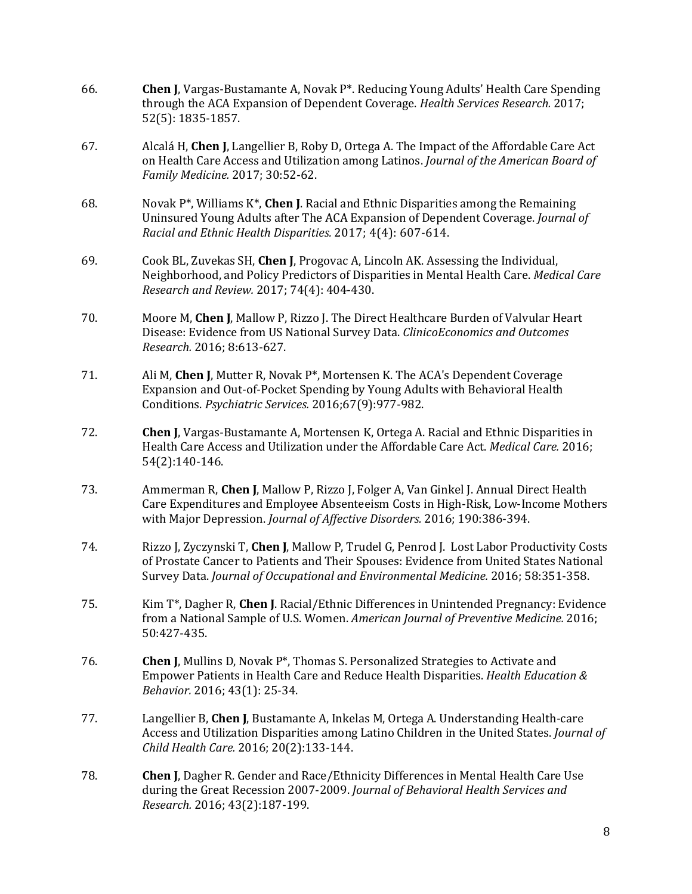- 66. **Chen J**, Vargas-Bustamante A, Novak P\*. Reducing Young Adults' Health Care Spending through the ACA Expansion of Dependent Coverage. *Health Services Research.* 2017; 52(5): 1835-1857.
- 67. Alcalá H, **Chen J**, Langellier B, Roby D, Ortega A. The Impact of the Affordable Care Act on Health Care Access and Utilization among Latinos. *Journal of the American Board of Family Medicine.* 2017; 30:52-62.
- 68. Novak P\*, Williams K\*, **Chen J**. Racial and Ethnic Disparities among the Remaining Uninsured Young Adults after The ACA Expansion of Dependent Coverage. *Journal of Racial and Ethnic Health Disparities.* 2017; 4(4): 607-614.
- 69. Cook BL, Zuvekas SH, **Chen J**, Progovac A, Lincoln AK. Assessing the Individual, Neighborhood, and Policy Predictors of Disparities in Mental Health Care. *Medical Care Research and Review.* 2017; 74(4): 404-430.
- 70. Moore M, **Chen J**, Mallow P, Rizzo J. The Direct Healthcare Burden of Valvular Heart Disease: Evidence from US National Survey Data. *ClinicoEconomics and Outcomes Research.* 2016; 8:613-627.
- 71. Ali M, **Chen J**, Mutter R, Novak P\*, Mortensen K. The ACA's Dependent Coverage Expansion and Out-of-Pocket Spending by Young Adults with Behavioral Health Conditions. *Psychiatric Services.* 2016;67(9):977-982.
- 72. **Chen J**, Vargas-Bustamante A, Mortensen K, Ortega A. Racial and Ethnic Disparities in Health Care Access and Utilization under the Affordable Care Act. *Medical Care.* 2016; 54(2):140-146.
- 73. Ammerman R, **Chen J**, Mallow P, Rizzo J, Folger A, Van Ginkel J. Annual Direct Health Care Expenditures and Employee Absenteeism Costs in High-Risk, Low-Income Mothers with Major Depression. *Journal of Affective Disorders.* 2016; 190:386-394.
- 74. Rizzo J, Zyczynski T, **Chen J**, Mallow P, Trudel G, Penrod J. Lost Labor Productivity Costs of Prostate Cancer to Patients and Their Spouses: Evidence from United States National Survey Data. *Journal of Occupational and Environmental Medicine.* 2016; 58:351-358.
- 75. Kim T\*, Dagher R, **Chen J**. Racial/Ethnic Differences in Unintended Pregnancy: Evidence from a National Sample of U.S. Women. *American Journal of Preventive Medicine.* 2016; 50:427-435.
- 76. **Chen J**, Mullins D, Novak P\*, Thomas S. Personalized Strategies to Activate and Empower Patients in Health Care and Reduce Health Disparities. *Health Education & Behavior.* 2016; 43(1): 25-34.
- 77. Langellier B, **Chen J**, Bustamante A, Inkelas M, Ortega A. Understanding Health-care Access and Utilization Disparities among Latino Children in the United States. *Journal of Child Health Care.* 2016; 20(2):133-144.
- 78. **Chen J**, Dagher R. Gender and Race/Ethnicity Differences in Mental Health Care Use during the Great Recession 2007-2009. *[Journal of Behavioral Health Services and](http://www.allacronyms.com/JBHS%26R/Journal_of_Behavioral_Health_Services_and_Research/72484)  [Research.](http://www.allacronyms.com/JBHS%26R/Journal_of_Behavioral_Health_Services_and_Research/72484)* 2016; 43(2):187-199.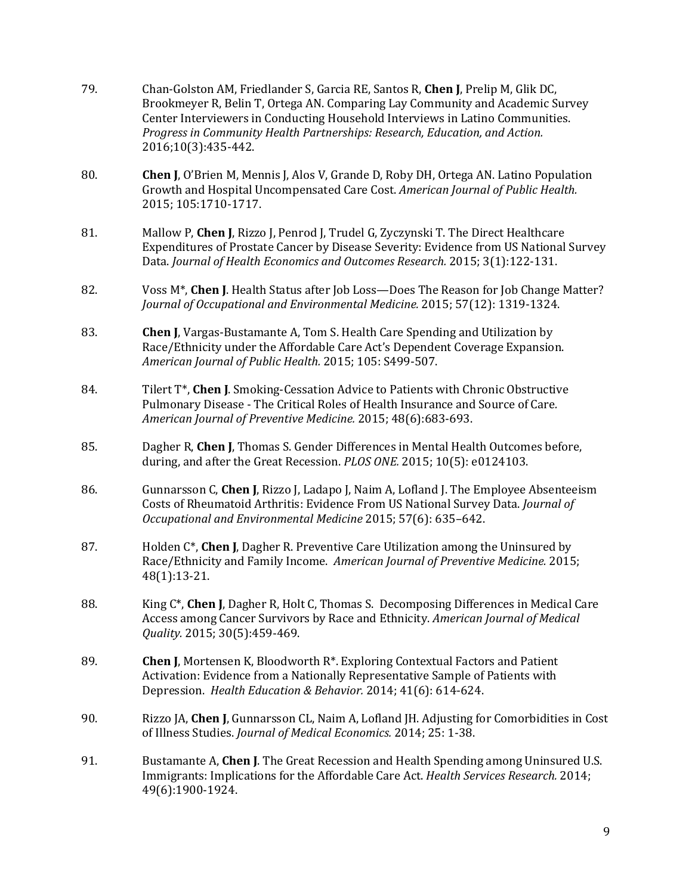- 79. Chan-Golston AM, Friedlander S, Garcia RE, Santos R, **Chen J**, Prelip M, Glik DC, Brookmeyer R, Belin T, Ortega AN. Comparing Lay Community and Academic Survey Center Interviewers in Conducting Household Interviews in Latino Communities. *Progress in Community Health Partnerships: Research, Education, and Action.* 2016;10(3):435-442.
- 80. **Chen J**, O'Brien M, Mennis J, Alos V, Grande D, Roby DH, Ortega AN. Latino Population Growth and Hospital Uncompensated Care Cost. *American Journal of Public Health.*  2015; 105:1710-1717.
- 81. Mallow P, **Chen J**, Rizzo J, Penrod J, Trudel G, Zyczynski T. The Direct Healthcare Expenditures of Prostate Cancer by Disease Severity: Evidence from US National Survey Data. *Journal of Health Economics and Outcomes Research.* 2015; 3(1):122-131.
- 82. Voss M\*, **Chen J**. Health Status after Job Loss—Does The Reason for Job Change Matter? *Journal of Occupational and Environmental Medicine.* 2015; 57(12): 1319-1324.
- 83. **Chen J**, Vargas-Bustamante A, Tom S. Health Care Spending and Utilization by Race/Ethnicity under the Affordable Care Act's Dependent Coverage Expansion. *American Journal of Public Health.* 2015; 105: S499-507.
- 84. Tilert T\*, **Chen J**[. Smoking-Cessation Advice to Patients with Chronic Obstructive](https://www.researchgate.net/publication/277080800_Smoking-Cessation_Advice_to_Patients_With_Chronic_Obstructive_Pulmonary_Disease?ev=prf_pub)  [Pulmonary Disease](https://www.researchgate.net/publication/277080800_Smoking-Cessation_Advice_to_Patients_With_Chronic_Obstructive_Pulmonary_Disease?ev=prf_pub) - The Critical Roles of Health Insurance and Source of Care*. American Journal of Preventive Medicine.* 2015; 48(6):683-693.
- 85. Dagher R, **Chen J**, Thomas S. Gender Differences in Mental Health Outcomes before, during, and after the Great Recession. *PLOS ONE.* 2015; 10(5): e0124103.
- 86. Gunnarsson C, **Chen J**, Rizzo J, Ladapo J, Naim A, Lofland J[. The Employee Absenteeism](https://www.researchgate.net/publication/277958518_The_Employee_Absenteeism_Costs_of_Rheumatoid_Arthritis_Evidence_From_US_National_Survey_Data?ev=prf_pub)  [Costs of Rheumatoid Arthritis: Evidence From US National Survey Data.](https://www.researchgate.net/publication/277958518_The_Employee_Absenteeism_Costs_of_Rheumatoid_Arthritis_Evidence_From_US_National_Survey_Data?ev=prf_pub) *Journal of Occupational and Environmental Medicine* 2015; 57(6): 635–642.
- 87. Holden C\*, **Chen J**, Dagher R. Preventive Care Utilization among the Uninsured by Race/Ethnicity and Family Income. *American Journal of Preventive Medicine.* 2015; 48(1):13-21.
- 88. King C\*, **Chen J**, Dagher R, Holt C, Thomas S. [Decomposing Differences in Medical Care](http://scholar.google.com/citations?view_op=view_citation&hl=en&user=7HKyAwIAAAAJ&cstart=20&citation_for_view=7HKyAwIAAAAJ:eflP2zaiRacC)  [Access among Cancer Survivors by Race](http://scholar.google.com/citations?view_op=view_citation&hl=en&user=7HKyAwIAAAAJ&cstart=20&citation_for_view=7HKyAwIAAAAJ:eflP2zaiRacC) and Ethnicity. *American Journal of Medical Quality.* 2015; 30(5):459-469.
- 89. **Chen J**, Mortensen K, Bloodworth R\*. Exploring Contextual Factors and Patient Activation: Evidence from a Nationally Representative Sample of Patients with Depression. *Health Education & Behavior.* 2014; 41(6): 614-624.
- 90. Rizzo JA, **Chen J**, Gunnarsson CL, Naim A, Lofland JH. Adjusting for Comorbidities in Cost of Illness Studies. *Journal of Medical Economics.* 2014; 25: 1-38.
- 91. Bustamante A, **Chen J**. The Great Recession and Health Spending among Uninsured U.S. Immigrants: Implications for the Affordable Care Act. *Health Services Research.* 2014; 49(6):1900-1924.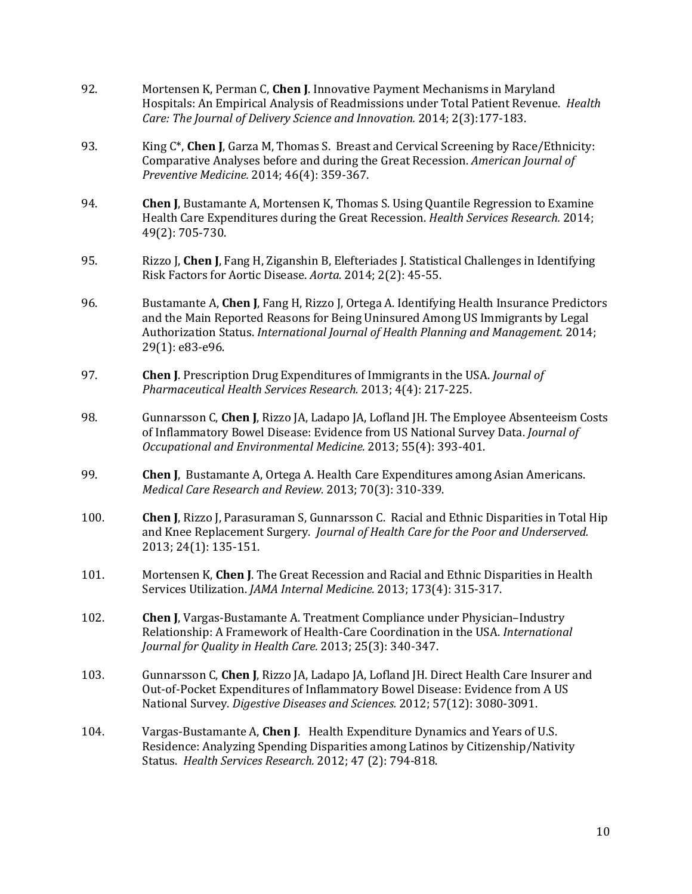- 92. Mortensen K, Perman C, **Chen J**. Innovative Payment Mechanisms in Maryland Hospitals: An Empirical Analysis of Readmissions under Total Patient Revenue. *Health Care: The Journal of Delivery Science and Innovation.* 2014; 2(3):177-183.
- 93. King C\*, **Chen J**, Garza M, Thomas S. Breast and Cervical Screening by Race/Ethnicity: Comparative Analyses before and during the Great Recession. *American Journal of Preventive Medicine.* 2014; 46(4): 359-367.
- 94. **Chen J**, [Bustamante](http://www.ph.ucla.edu/hs/bio_bustamante.asp) A, Mortensen K, Thomas S. Using Quantile Regression to Examine Health Care Expenditures during the Great Recession. *Health Services Research.* 2014; 49(2): 705-730.
- 95. Rizzo J, **Chen J**, Fang H, Ziganshin B, Elefteriades J. Statistical Challenges in Identifying Risk Factors for Aortic Disease. *Aorta.* 2014; 2(2): 45-55.
- 96. [Bustamante](http://www.ph.ucla.edu/hs/bio_bustamante.asp) A, **Chen J**, Fang H, Rizzo J, Ortega A. Identifying Health Insurance Predictors and the Main Reported Reasons for Being Uninsured Among US Immigrants by Legal Authorization Status. *International Journal of Health Planning and Management.* 2014; 29(1): e83-e96.
- 97. **Chen J**. Prescription Drug Expenditures of Immigrants in the USA. *Journal of Pharmaceutical Health Services Research.* 2013; 4(4): 217-225.
- 98. Gunnarsson C, **Chen J**, Rizzo JA, Ladapo JA, Lofland JH. The Employee Absenteeism Costs of Inflammatory Bowel Disease: Evidence from US National Survey Data. *Journal of Occupational and Environmental Medicine.* 2013; 55(4): 393-401.
- 99. **Chen J**, [Bustamante](http://www.ph.ucla.edu/hs/bio_bustamante.asp) A, Ortega A. Health Care Expenditures among Asian Americans. *Medical Care Research and Review.* 2013; 70(3): 310-339.
- 100. **Chen J**, Rizzo J, Parasuraman S, Gunnarsson C. Racial and Ethnic Disparities in Total Hip and Knee Replacement Surgery. *Journal of Health Care for the Poor and Underserved.* 2013; 24(1): 135-151.
- 101. Mortensen K, **Chen J**. The Great Recession and Racial and Ethnic Disparities in Health Services Utilization. *JAMA Internal Medicine.* 2013; 173(4): 315-317.
- 102. **Chen J**, Vargas-Bustamante A. Treatment Compliance under Physician–Industry Relationship: A Framework of Health-Care Coordination in the USA. *International Journal for Quality in Health Care.* 2013; 25(3): 340-347.
- 103. Gunnarsson C, **Chen J**, Rizzo JA, Ladapo JA, Lofland JH. Direct Health Care Insurer and Out-of-Pocket Expenditures of Inflammatory Bowel Disease: Evidence from A US National Survey. *Digestive Diseases and Sciences.* 2012; 57(12): 3080-3091.
- 104. Vargas-Bustamante A, **Chen J**. Health Expenditure Dynamics and Years of U.S. Residence: Analyzing Spending Disparities among Latinos by Citizenship/Nativity Status. *Health Services Research.* 2012; 47 (2): 794-818.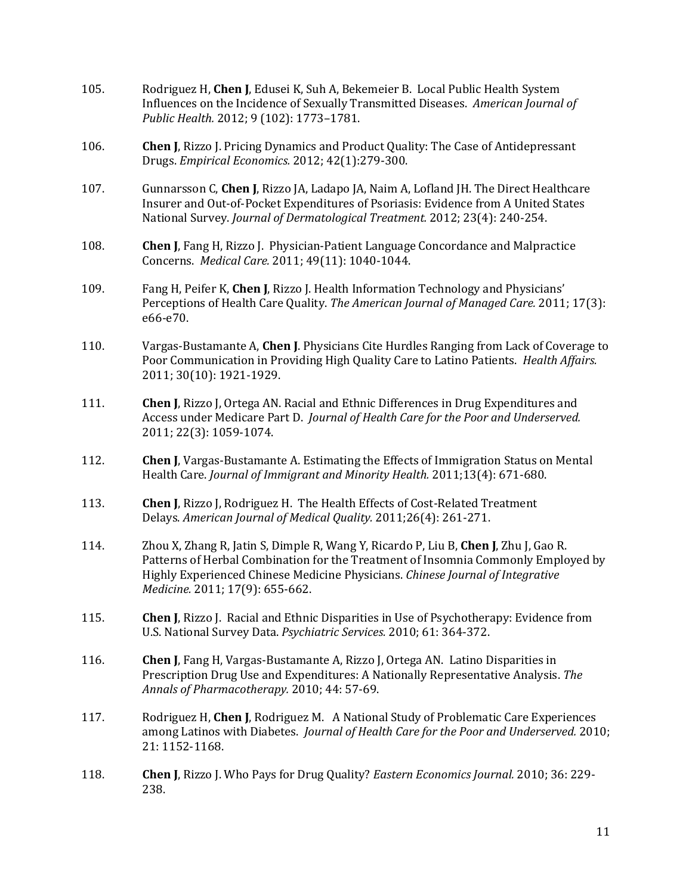- 105. Rodriguez H, **Chen J**, Edusei K, Suh A, Bekemeier B. Local Public Health System Influences on the Incidence of Sexually Transmitted Diseases. *American Journal of Public Health.* 2012; 9 (102): 1773–1781.
- 106. **Chen J**, Rizzo J. Pricing Dynamics and Product Quality: The Case of Antidepressant Drugs. *Empirical Economics.* 2012; 42(1):279-300.
- 107. Gunnarsson C, **Chen J**, Rizzo JA, Ladapo JA, Naim A, Lofland JH. The Direct Healthcare Insurer and Out-of-Pocket Expenditures of Psoriasis: Evidence from A United States National Survey. *Journal of Dermatological Treatment.* 2012; 23(4): 240-254.
- 108. **Chen J**, Fang H, Rizzo J. Physician-Patient Language Concordance and Malpractice Concerns. *Medical Care.* 2011; 49(11): 1040-1044.
- 109. Fang H, Peifer K, **Chen J**, Rizzo J. Health Information Technology and Physicians' Perceptions of Health Care Quality. *The American Journal of Managed Care.* 2011; 17(3): e66-e70.
- 110. Vargas-Bustamante A, **Chen J**. Physicians Cite Hurdles Ranging from Lack of Coverage to Poor Communication in Providing High Quality Care to Latino Patients. *Health Affairs.* 2011; 30(10): 1921-1929.
- 111. **Chen J**, Rizzo J, Ortega AN. Racial and Ethnic Differences in Drug Expenditures and Access under Medicare Part D. *Journal of Health Care for the Poor and Underserved.* 2011; 22(3): 1059-1074.
- 112. **Chen J**, Vargas-Bustamante A. Estimating the Effects of Immigration Status on Mental Health Care. *Journal of Immigrant and Minority Health.* 2011;13(4): 671-680.
- 113. **Chen J**, Rizzo J, Rodriguez H. The Health Effects of Cost-Related Treatment Delays. *American Journal of Medical Quality.* 2011;26(4): 261-271.
- 114. Zhou X, Zhang R, Jatin S, Dimple R, Wang Y, Ricardo P, Liu B, **Chen J**, Zhu J, Gao R. Patterns of Herbal Combination for the Treatment of Insomnia Commonly Employed by Highly Experienced Chinese Medicine Physicians. *Chinese Journal of Integrative Medicine.* 2011; 17(9): 655-662.
- 115. **Chen J**, Rizzo J. Racial and Ethnic Disparities in Use of Psychotherapy: Evidence from U.S. National Survey Data. *Psychiatric Services.* 2010; 61: 364-372.
- 116. **Chen J**, Fang H, Vargas-Bustamante A, Rizzo J, Ortega AN. Latino Disparities in Prescription Drug Use and Expenditures: A Nationally Representative Analysis. *The Annals of Pharmacotherapy.* 2010; 44: 57-69.
- 117. Rodriguez H, **Chen J**, Rodriguez M. A National Study of Problematic Care Experiences among Latinos with Diabetes. *Journal of Health Care for the Poor and Underserved.* 2010; 21: 1152-1168.
- 118. **Chen J**, Rizzo J. Who Pays for Drug Quality? *Eastern Economics Journal.* 2010; 36: 229- 238.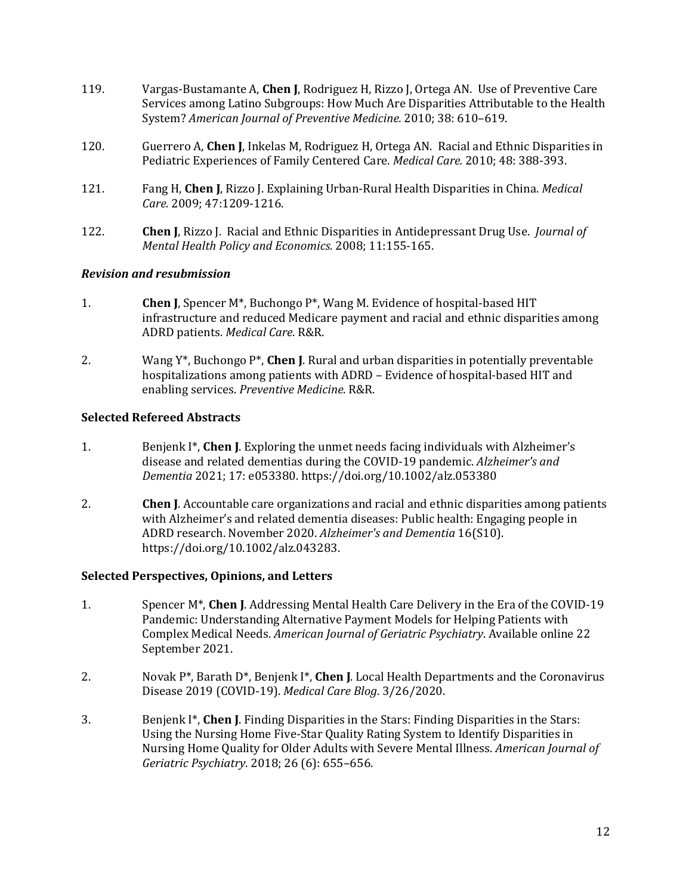- 119. Vargas-Bustamante A, **Chen J**, Rodriguez H, Rizzo J, Ortega AN. Use of Preventive Care Services among Latino Subgroups: How Much Are Disparities Attributable to the Health System? *American Journal of Preventive Medicine.* 2010; 38: 610–619.
- 120. Guerrero A, **Chen J**, Inkelas M, Rodriguez H, Ortega AN. Racial and Ethnic Disparities in Pediatric Experiences of Family Centered Care. *Medical Care.* 2010; 48: 388-393.
- 121. Fang H, **Chen J**, Rizzo J. Explaining Urban-Rural Health Disparities in China. *Medical Care.* 2009; 47:1209-1216.
- 122. **Chen J**, Rizzo J. Racial and Ethnic Disparities in Antidepressant Drug Use. *Journal of Mental Health Policy and Economics.* 2008; 11:155-165.

#### *Revision and resubmission*

- 1. **Chen J**, Spencer M\*, Buchongo P\*, Wang M. Evidence of hospital-based HIT infrastructure and reduced Medicare payment and racial and ethnic disparities among ADRD patients. *Medical Care*. R&R.
- 2. Wang Y\*, Buchongo P\*, **Chen J**. Rural and urban disparities in potentially preventable hospitalizations among patients with ADRD – Evidence of hospital-based HIT and enabling services. *Preventive Medicine*. R&R.

## **Selected Refereed Abstracts**

- 1. Benjenk I\*, **Chen J**. Exploring the unmet needs facing individuals with Alzheimer's disease and related dementias during the COVID-19 pandemic. *Alzheimer's and Dementia* 2021; 17: e053380. <https://doi.org/10.1002/alz.053380>
- 2. **Chen J**. Accountable care organizations and racial and ethnic disparities among patients with Alzheimer's and related dementia diseases: Public health: Engaging people in ADRD research. November 2020. *Alzheimer's and Dementia* 16(S10). [https://doi.org/10.1002/alz.043283.](https://doi.org/10.1002/alz.043283)

#### **Selected Perspectives, Opinions, and Letters**

- 1. Spencer M\*, **Chen J**. Addressing Mental Health Care Delivery in the Era of the COVID-19 Pandemic: Understanding Alternative Payment Models for Helping Patients with Complex Medical Needs. *American Journal of Geriatric Psychiatry*. Available online 22 September 2021.
- 2. Novak P\*, Barath D\*, Benjenk I\*, **Chen J**. Local Health Departments and the Coronavirus Disease 2019 (COVID-19). *Medical Care Blog*. 3/26/2020.
- 3. Benjenk I\*, **Chen J**. Finding Disparities in the Stars: Finding Disparities in the Stars: Using the Nursing Home Five-Star Quality Rating System to Identify Disparities in Nursing Home Quality for Older Adults with Severe Mental Illness. *American Journal of Geriatric Psychiatry*. 2018; 26 (6): 655–656.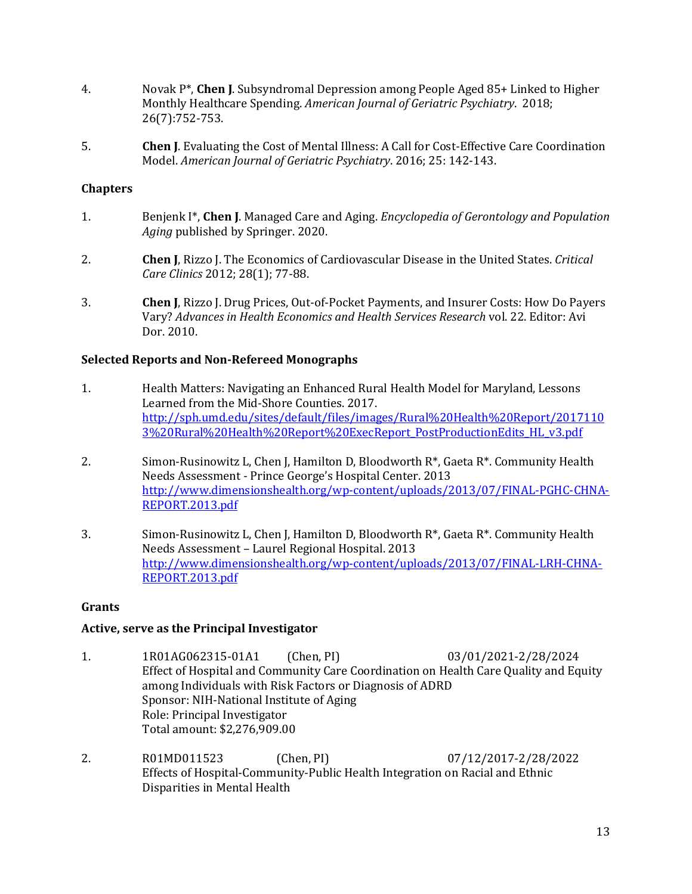- 4. Novak P\*, **Chen J**. Subsyndromal Depression among People Aged 85+ Linked to Higher Monthly Healthcare Spending. *American Journal of Geriatric Psychiatry*. 2018; 26(7):752-753.
- 5. **Chen J**. Evaluating the Cost of Mental Illness: A Call for Cost-Effective Care Coordination Model. *American Journal of Geriatric Psychiatry*. 2016; 25: 142-143.

#### **Chapters**

- 1. Benjenk I\*, **Chen J**. Managed Care and Aging. *Encyclopedia of Gerontology and Population Aging* published by Springer. 2020.
- 2. **Chen J**, Rizzo J. The Economics of Cardiovascular Disease in the United States. *Critical Care Clinics* 2012; 28(1); 77-88.
- 3. **Chen J**, Rizzo J. Drug Prices, Out-of-Pocket Payments, and Insurer Costs: How Do Payers Vary? *Advances in Health Economics and Health Services Research* vol. 22. Editor: Avi Dor. 2010.

#### **Selected Reports and Non-Refereed Monographs**

- 1. Health Matters: Navigating an Enhanced Rural Health Model for Maryland, Lessons Learned from the Mid-Shore Counties. 2017. [http://sph.umd.edu/sites/default/files/images/Rural%20Health%20Report/2017110](http://sph.umd.edu/sites/default/files/images/Rural%20Health%20Report/20171103%20Rural%20Health%20Report%20ExecReport_PostProductionEdits_HL_v3.pdf) [3%20Rural%20Health%20Report%20ExecReport\\_PostProductionEdits\\_HL\\_v3.pdf](http://sph.umd.edu/sites/default/files/images/Rural%20Health%20Report/20171103%20Rural%20Health%20Report%20ExecReport_PostProductionEdits_HL_v3.pdf)
- 2. Simon-Rusinowitz L, Chen J, Hamilton D, Bloodworth R\*, Gaeta R\*. Community Health Needs Assessment - Prince George's Hospital Center. 2013 [http://www.dimensionshealth.org/wp-content/uploads/2013/07/FINAL-PGHC-CHNA-](http://www.dimensionshealth.org/wp-content/uploads/2013/07/FINAL-PGHC-CHNA-REPORT.2013.pdf)[REPORT.2013.pdf](http://www.dimensionshealth.org/wp-content/uploads/2013/07/FINAL-PGHC-CHNA-REPORT.2013.pdf)
- 3. Simon-Rusinowitz L, Chen J, Hamilton D, Bloodworth R\*, Gaeta R\*. Community Health Needs Assessment – Laurel Regional Hospital. 2013 [http://www.dimensionshealth.org/wp-content/uploads/2013/07/FINAL-LRH-CHNA-](http://www.dimensionshealth.org/wp-content/uploads/2013/07/FINAL-LRH-CHNA-REPORT.2013.pdf)[REPORT.2013.pdf](http://www.dimensionshealth.org/wp-content/uploads/2013/07/FINAL-LRH-CHNA-REPORT.2013.pdf)

#### **Grants**

## **Active, serve as the Principal Investigator**

- 1. 1R01AG062315-01A1 (Chen, PI) 03/01/2021-2/28/2024 Effect of Hospital and Community Care Coordination on Health Care Quality and Equity among Individuals with Risk Factors or Diagnosis of ADRD Sponsor: NIH-National Institute of Aging Role: Principal Investigator Total amount: \$2,276,909.00
- 2. R01MD011523 (Chen, PI) 07/12/2017-2/28/2022 Effects of Hospital-Community-Public Health Integration on Racial and Ethnic Disparities in Mental Health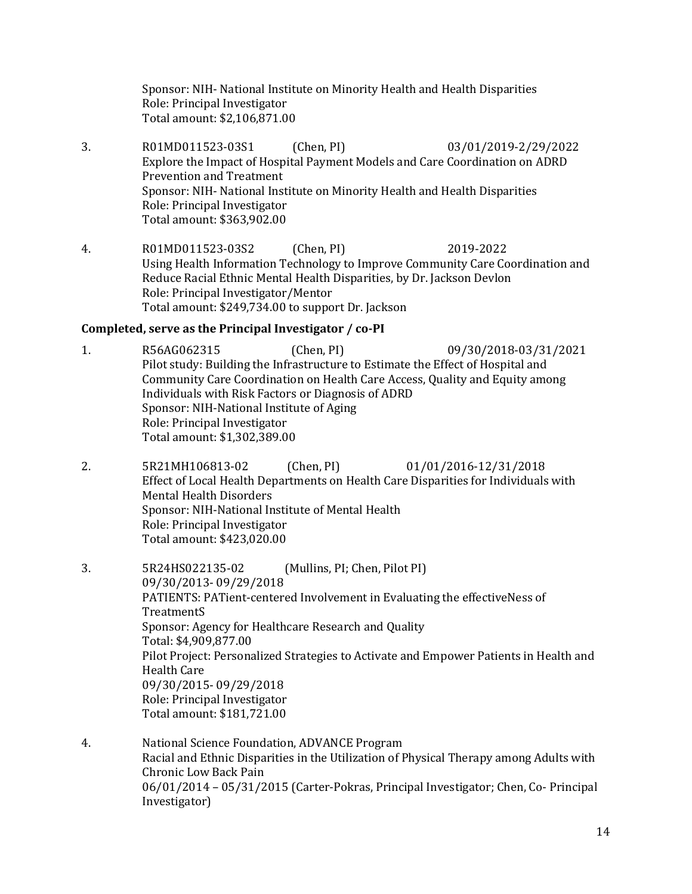Sponsor: NIH- [National Institute on Minority Health and Health Disparities](http://www.nimhd.nih.gov/) Role: Principal Investigator Total amount: \$2,106,871.00

- 3. R01MD011523-03S1 (Chen, PI) 03/01/2019-2/29/2022 Explore the Impact of Hospital Payment Models and Care Coordination on ADRD Prevention and Treatment Sponsor: NIH- [National Institute on Minority Health and Health Disparities](http://www.nimhd.nih.gov/) Role: Principal Investigator Total amount: \$363,902.00
- 4. R01MD011523-03S2 (Chen, PI) 2019-2022 Using Health Information Technology to Improve Community Care Coordination and Reduce Racial Ethnic Mental Health Disparities, by Dr. Jackson Devlon Role: Principal Investigator/Mentor Total amount: \$249,734.00 to support Dr. Jackson

#### **Completed, serve as the Principal Investigator / co-PI**

- 1. R56AG062315 (Chen, PI) 09/30/2018-03/31/2021 Pilot study: Building the Infrastructure to Estimate the Effect of Hospital and Community Care Coordination on Health Care Access, Quality and Equity among Individuals with Risk Factors or Diagnosis of ADRD Sponsor: NIH-National Institute of Aging Role: Principal Investigator Total amount: \$1,302,389.00
- 2. 5R21MH106813-02 (Chen, PI) 01/01/2016-12/31/2018 Effect of Local Health Departments on Health Care Disparities for Individuals with Mental Health Disorders Sponsor: NIH-National Institute of Mental Health Role: Principal Investigator Total amount: \$423,020.00
- 3. 5R24HS022135-02 (Mullins, PI; Chen, Pilot PI) 09/30/2013- 09/29/2018 PATIENTS: PATient-centered Involvement in Evaluating the effectiveNess of **TreatmentS** Sponsor: [Agency for Healthcare Research and Quality](http://www.healthcareitnews.com/directory/agency-healthcare-research-and-quality-ahrq) Total: \$4,909,877.00 Pilot Project: Personalized Strategies to Activate and Empower Patients in Health and Health Care 09/30/2015- 09/29/2018 Role: Principal Investigator Total amount: \$181,721.00
- 4. National Science Foundation, ADVANCE Program Racial and Ethnic Disparities in the Utilization of Physical Therapy among Adults with Chronic Low Back Pain 06/01/2014 – 05/31/2015 (Carter-Pokras, Principal Investigator; Chen, Co- Principal Investigator)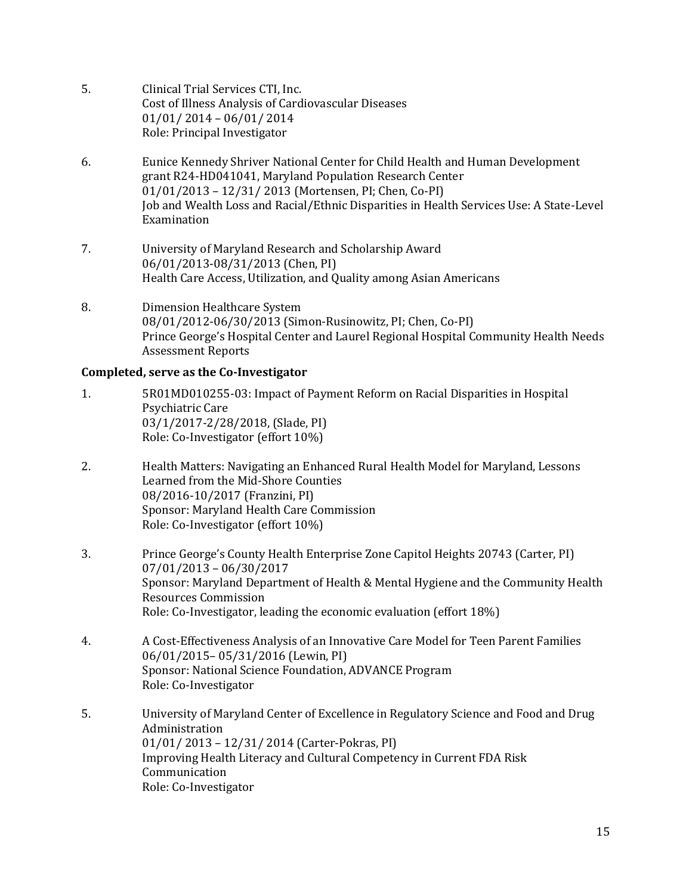- 5. Clinical Trial Services CTI, Inc. Cost of Illness Analysis of Cardiovascular Diseases 01/01/ 2014 – 06/01/ 2014 Role: Principal Investigator
- 6. Eunice Kennedy Shriver National Center for Child Health and Human Development grant R24-HD041041, Maryland Population Research Center 01/01/2013 – 12/31/ 2013 (Mortensen, PI; Chen, Co-PI) Job and Wealth Loss and Racial/Ethnic Disparities in Health Services Use: A State-Level Examination
- 7. University of Maryland Research and Scholarship Award 06/01/2013-08/31/2013 (Chen, PI) Health Care Access, Utilization, and Quality among Asian Americans
- 8. Dimension Healthcare System 08/01/2012-06/30/2013 (Simon-Rusinowitz, PI; Chen, Co-PI) Prince George's Hospital Center and Laurel Regional Hospital Community Health Needs Assessment Reports

## **Completed, serve as the Co-Investigator**

- 1. 5R01MD010255-03: Impact of Payment Reform on Racial Disparities in Hospital Psychiatric Care 03/1/2017-2/28/2018, (Slade, PI) Role: Co-Investigator (effort 10%)
- 2. Health Matters: Navigating an Enhanced Rural Health Model for Maryland, Lessons Learned from the Mid-Shore Counties 08/2016-10/2017 (Franzini, PI) Sponsor: Maryland Health Care Commission Role: Co-Investigator (effort 10%)
- 3. Prince George's County Health Enterprise Zone Capitol Heights 20743 (Carter, PI) 07/01/2013 – 06/30/2017 Sponsor: Maryland Department of Health & Mental Hygiene and the Community Health Resources Commission Role: Co-Investigator, leading the economic evaluation (effort 18%)
- 4. A Cost-Effectiveness Analysis of an Innovative Care Model for Teen Parent Families 06/01/2015– 05/31/2016 (Lewin, PI) Sponsor: National Science Foundation, ADVANCE Program Role: Co-Investigator
- 5. University of Maryland Center of Excellence in Regulatory Science and Food and Drug Administration 01/01/ 2013 – 12/31/ 2014 (Carter-Pokras, PI) Improving Health Literacy and Cultural Competency in Current FDA Risk Communication Role: Co-Investigator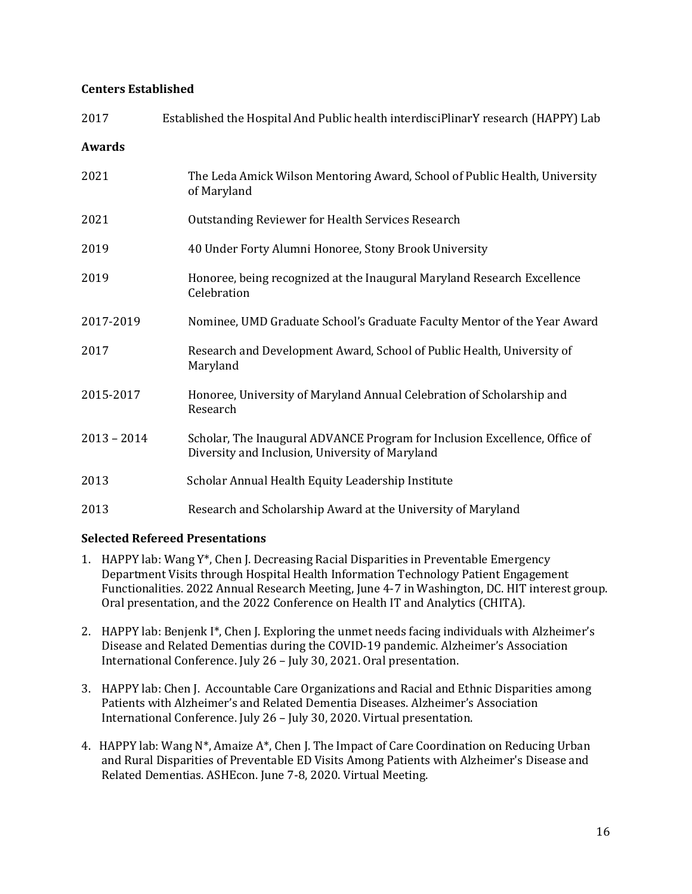#### **Centers Established**

| 2017          | Established the Hospital And Public health interdisciplinarY research (HAPPY) Lab                                             |
|---------------|-------------------------------------------------------------------------------------------------------------------------------|
| <b>Awards</b> |                                                                                                                               |
| 2021          | The Leda Amick Wilson Mentoring Award, School of Public Health, University<br>of Maryland                                     |
| 2021          | <b>Outstanding Reviewer for Health Services Research</b>                                                                      |
| 2019          | 40 Under Forty Alumni Honoree, Stony Brook University                                                                         |
| 2019          | Honoree, being recognized at the Inaugural Maryland Research Excellence<br>Celebration                                        |
| 2017-2019     | Nominee, UMD Graduate School's Graduate Faculty Mentor of the Year Award                                                      |
| 2017          | Research and Development Award, School of Public Health, University of<br>Maryland                                            |
| 2015-2017     | Honoree, University of Maryland Annual Celebration of Scholarship and<br>Research                                             |
| $2013 - 2014$ | Scholar, The Inaugural ADVANCE Program for Inclusion Excellence, Office of<br>Diversity and Inclusion, University of Maryland |
| 2013          | Scholar Annual Health Equity Leadership Institute                                                                             |
| 2013          | Research and Scholarship Award at the University of Maryland                                                                  |

## **Selected Refereed Presentations**

- 1. HAPPY lab: Wang  $Y^*$ , Chen J. Decreasing Racial Disparities in Preventable Emergency Department Visits through Hospital Health Information Technology Patient Engagement Functionalities. 2022 Annual Research Meeting, June 4-7 in Washington, DC. HIT interest group. Oral presentation, and the 2022 Conference on Health IT and Analytics (CHITA).
- 2. HAPPY lab: Benjenk I\*, Chen J. Exploring the unmet needs facing individuals with Alzheimer's Disease and Related Dementias during the COVID-19 pandemic. Alzheimer's Association International Conference. July 26 – July 30, 2021. Oral presentation.
- 3. HAPPY lab: Chen J. Accountable Care Organizations and Racial and Ethnic Disparities among Patients with Alzheimer's and Related Dementia Diseases. Alzheimer's Association International Conference. July 26 – July 30, 2020. Virtual presentation.
- 4. HAPPY lab: Wang  $N^*$ , Amaize  $A^*$ , Chen J. The Impact of Care Coordination on Reducing Urban and Rural Disparities of Preventable ED Visits Among Patients with Alzheimer's Disease and Related Dementias. ASHEcon. June 7-8, 2020. Virtual Meeting.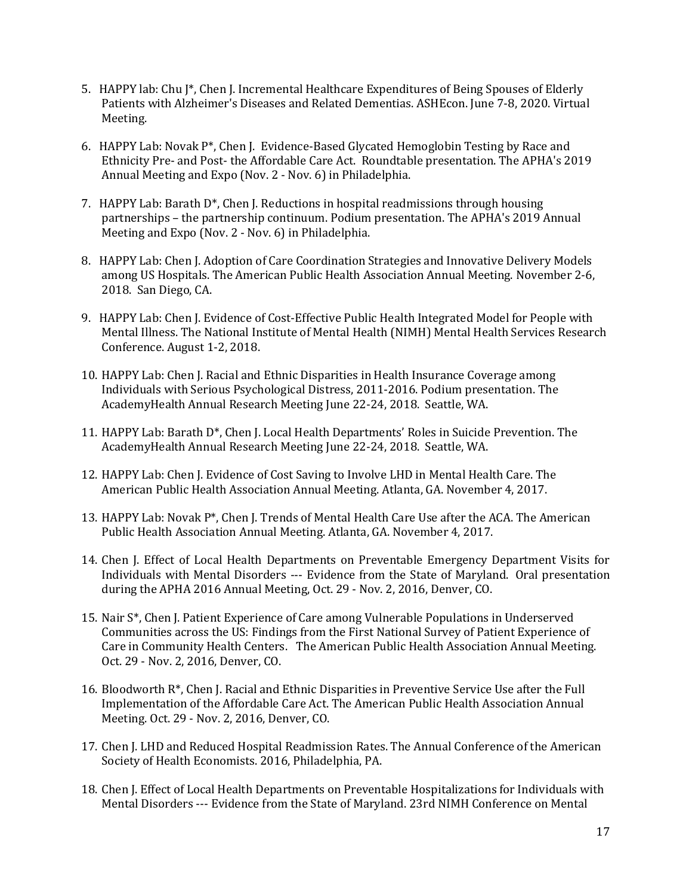- 5. HAPPY lab: Chu J\*, Chen J. Incremental Healthcare Expenditures of Being Spouses of Elderly Patients with Alzheimer's Diseases and Related Dementias. ASHEcon. June 7-8, 2020. Virtual Meeting.
- 6. HAPPY Lab: Novak P\*, Chen J. Evidence-Based Glycated Hemoglobin Testing by Race and Ethnicity Pre- and Post- the Affordable Care Act. Roundtable presentation. The APHA's 2019 Annual Meeting and Expo (Nov. 2 - Nov. 6) in Philadelphia.
- 7. HAPPY Lab: Barath D\*, Chen J. Reductions in hospital readmissions through housing partnerships – the partnership continuum. Podium presentation. The APHA's 2019 Annual Meeting and Expo (Nov. 2 - Nov. 6) in Philadelphia.
- 8. HAPPY Lab: Chen J. Adoption of Care Coordination Strategies and Innovative Delivery Models among US Hospitals. The American Public Health Association Annual Meeting. November 2-6, 2018. San Diego, CA.
- 9. HAPPY Lab: Chen J. Evidence of Cost-Effective Public Health Integrated Model for People with Mental Illness. The National Institute of Mental Health (NIMH) Mental Health Services Research Conference. August 1-2, 2018.
- 10. HAPPY Lab: Chen J. Racial and Ethnic Disparities in Health Insurance Coverage among Individuals with Serious Psychological Distress, 2011-2016. Podium presentation. The AcademyHealth Annual Research Meeting June 22-24, 2018. Seattle, WA.
- 11. HAPPY Lab: Barath D\*, Chen J. Local Health Departments' Roles in Suicide Prevention. The AcademyHealth Annual Research Meeting June 22-24, 2018. Seattle, WA.
- 12. HAPPY Lab: Chen J. Evidence of Cost Saving to Involve LHD in Mental Health Care. The American Public Health Association Annual Meeting. Atlanta, GA. November 4, 2017.
- 13. HAPPY Lab: Novak P\*, Chen J. Trends of Mental Health Care Use after the ACA. The American Public Health Association Annual Meeting. Atlanta, GA. November 4, 2017.
- 14. Chen J. Effect of Local Health Departments on Preventable Emergency Department Visits for Individuals with Mental Disorders --- Evidence from the State of Maryland. Oral presentation during the APHA 2016 Annual Meeting, Oct. 29 - Nov. 2, 2016, Denver, CO.
- 15. Nair S\*, Chen J. Patient Experience of Care among Vulnerable Populations in Underserved Communities across the US: Findings from the First National Survey of Patient Experience of Care in Community Health Centers. The American Public Health Association Annual Meeting. Oct. 29 - Nov. 2, 2016, Denver, CO.
- 16. Bloodworth R\*, Chen J. Racial and Ethnic Disparities in Preventive Service Use after the Full Implementation of the Affordable Care Act. The American Public Health Association Annual Meeting. Oct. 29 - Nov. 2, 2016, Denver, CO.
- 17. Chen J. LHD and Reduced Hospital Readmission Rates. The Annual Conference of the American Society of Health Economists. 2016, Philadelphia, PA.
- 18. Chen J. Effect of Local Health Departments on Preventable Hospitalizations for Individuals with Mental Disorders --- Evidence from the State of Maryland. 23rd NIMH Conference on Mental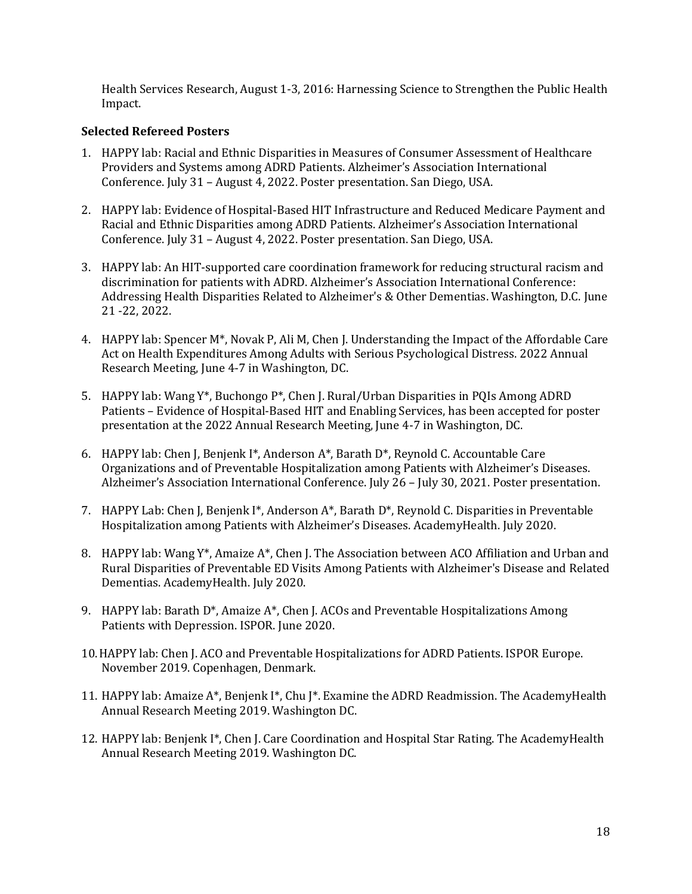Health Services Research, August 1-3, 2016: Harnessing Science to Strengthen the Public Health Impact.

## **Selected Refereed Posters**

- 1. HAPPY lab: Racial and Ethnic Disparities in Measures of Consumer Assessment of Healthcare Providers and Systems among ADRD Patients. Alzheimer's Association International Conference. July 31 – August 4, 2022. Poster presentation. San Diego, USA.
- 2. HAPPY lab: Evidence of Hospital-Based HIT Infrastructure and Reduced Medicare Payment and Racial and Ethnic Disparities among ADRD Patients. Alzheimer's Association International Conference. July 31 – August 4, 2022. Poster presentation. San Diego, USA.
- 3. HAPPY lab: An HIT-supported care coordination framework for reducing structural racism and discrimination for patients with ADRD. Alzheimer's Association International Conference: Addressing Health Disparities Related to Alzheimer's & Other Dementias. Washington, D.C. June 21 -22, 2022.
- 4. HAPPY lab: Spencer M\*, Novak P, Ali M, Chen J. Understanding the Impact of the Affordable Care Act on Health Expenditures Among Adults with Serious Psychological Distress. 2022 Annual Research Meeting, June 4-7 in Washington, DC.
- 5. HAPPY lab: Wang Y\*, Buchongo P\*, Chen J. Rural/Urban Disparities in PQIs Among ADRD Patients – Evidence of Hospital-Based HIT and Enabling Services, has been accepted for poster presentation at the 2022 Annual Research Meeting, June 4-7 in Washington, DC.
- 6. HAPPY lab: Chen J, Benjenk I\*, Anderson A\*, Barath D\*, Reynold C. Accountable Care Organizations and of Preventable Hospitalization among Patients with Alzheimer's Diseases. Alzheimer's Association International Conference. July 26 – July 30, 2021. Poster presentation.
- 7. HAPPY Lab: Chen J, Benjenk I\*, Anderson A\*, Barath D\*, Reynold C. Disparities in Preventable Hospitalization among Patients with Alzheimer's Diseases. AcademyHealth. July 2020.
- 8. HAPPY lab: Wang  $Y^*$ , Amaize  $A^*$ , Chen J. The Association between ACO Affiliation and Urban and Rural Disparities of Preventable ED Visits Among Patients with Alzheimer's Disease and Related Dementias. AcademyHealth. July 2020.
- 9. HAPPY lab: Barath D\*, Amaize A\*, Chen J. ACOs and Preventable Hospitalizations Among Patients with Depression. ISPOR. June 2020.
- 10.HAPPY lab: Chen J. ACO and Preventable Hospitalizations for ADRD Patients. ISPOR Europe. November 2019. Copenhagen, Denmark.
- 11. HAPPY lab: Amaize A\*, Benjenk I\*, Chu I\*. Examine the ADRD Readmission. The AcademyHealth Annual Research Meeting 2019. Washington DC.
- 12. HAPPY lab: Benjenk I\*, Chen J. Care Coordination and Hospital Star Rating. The AcademyHealth Annual Research Meeting 2019. Washington DC.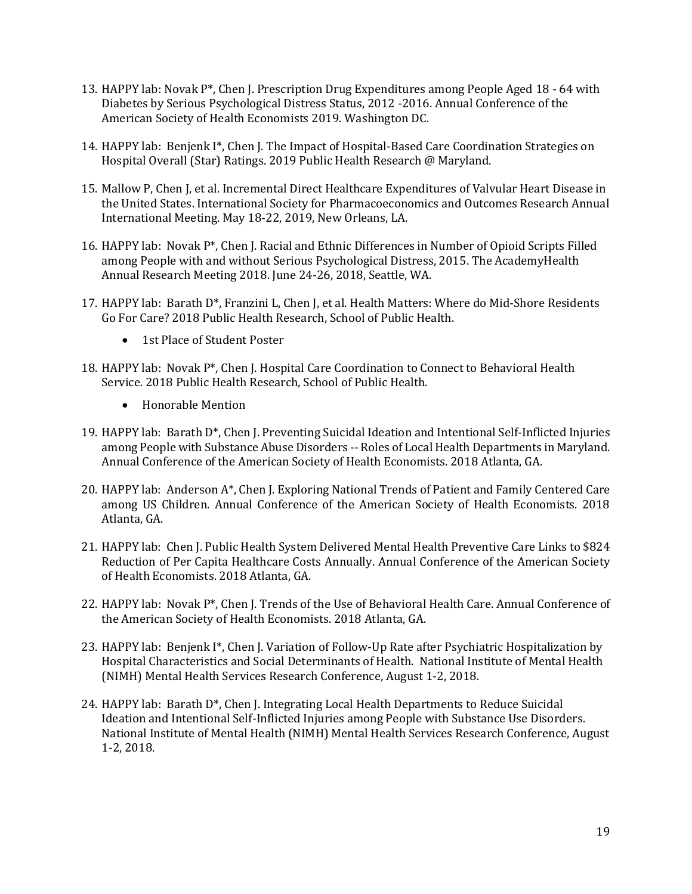- 13. HAPPY lab: Novak  $P^*$ , Chen J. Prescription Drug Expenditures among People Aged 18 64 with Diabetes by Serious Psychological Distress Status, 2012 -2016. Annual Conference of the American Society of Health Economists 2019. Washington DC.
- 14. HAPPY lab: Benjenk I\*, Chen J. The Impact of Hospital-Based Care Coordination Strategies on Hospital Overall (Star) Ratings. 2019 Public Health Research @ Maryland.
- 15. Mallow P, Chen J, et al. Incremental Direct Healthcare Expenditures of Valvular Heart Disease in the United States. International Society for Pharmacoeconomics and Outcomes Research Annual International Meeting. May 18-22, 2019, New Orleans, LA.
- 16. HAPPY lab: Novak P\*, Chen J. Racial and Ethnic Differences in Number of Opioid Scripts Filled among People with and without Serious Psychological Distress, 2015. The AcademyHealth Annual Research Meeting 2018. June 24-26, 2018, Seattle, WA.
- 17. HAPPY lab: Barath D\*, Franzini L, Chen J, et al. [Health Matters: Where do Mid-Shore Residents](http://publichealthresearch.umd.edu/poster/view/3043)  [Go For Care?](http://publichealthresearch.umd.edu/poster/view/3043) 2018 Public Health Research, School of Public Health.
	- 1st Place of Student Poster
- 18. HAPPY lab: Novak P\*, Chen J. Hospital Care Coordination to Connect to Behavioral Health Service. 2018 Public Health Research, School of Public Health.
	- Honorable Mention
- 19. HAPPY lab: Barath D\*, Chen J. Preventing Suicidal Ideation and Intentional Self-Inflicted Injuries among People with Substance Abuse Disorders -- Roles of Local Health Departments in Maryland. Annual Conference of the American Society of Health Economists. 2018 Atlanta, GA.
- 20. HAPPY lab: Anderson A\*, Chen J. Exploring National Trends of Patient and Family Centered Care among US Children. Annual Conference of the American Society of Health Economists. 2018 Atlanta, GA.
- 21. HAPPY lab: Chen J. Public Health System Delivered Mental Health Preventive Care Links to \$824 Reduction of Per Capita Healthcare Costs Annually. Annual Conference of the American Society of Health Economists. 2018 Atlanta, GA.
- 22. HAPPY lab: Novak P\*, Chen J. Trends of the Use of Behavioral Health Care. Annual Conference of the American Society of Health Economists. 2018 Atlanta, GA.
- 23. HAPPY lab: Benjenk I\*, Chen J. Variation of Follow-Up Rate after Psychiatric Hospitalization by Hospital Characteristics and Social Determinants of Health. National Institute of Mental Health (NIMH) Mental Health Services Research Conference, August 1-2, 2018.
- 24. HAPPY lab: Barath D<sup>\*</sup>, Chen J. Integrating Local Health Departments to Reduce Suicidal Ideation and Intentional Self-Inflicted Injuries among People with Substance Use Disorders. National Institute of Mental Health (NIMH) Mental Health Services Research Conference, August 1-2, 2018.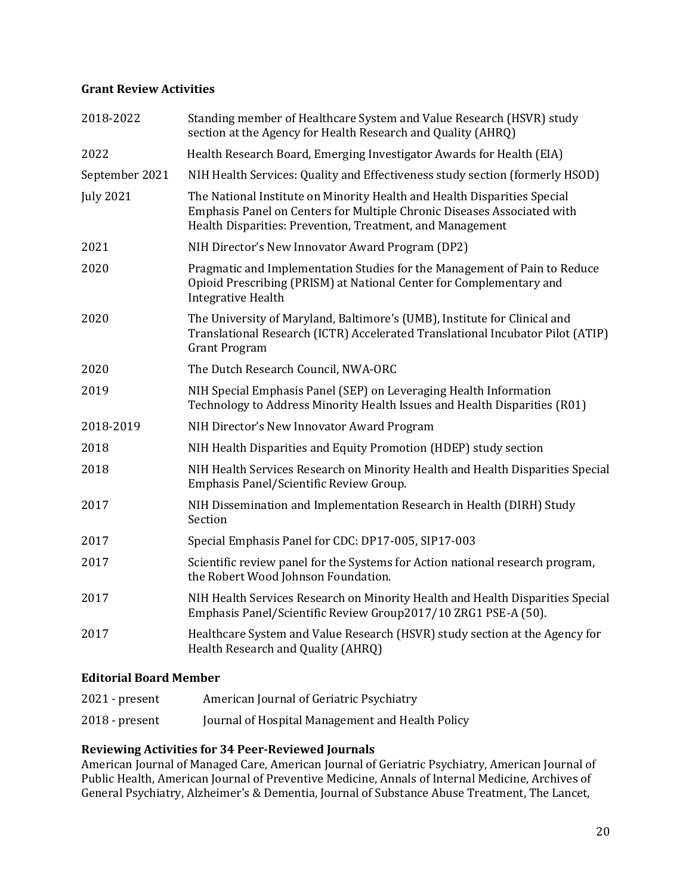## **[Grant Review Activities](http://cv.hms.harvard.edu/index.php?page=grant)**

| 2018-2022        | Standing member of Healthcare System and Value Research (HSVR) study<br>section at the Agency for Health Research and Quality (AHRQ)                                                                             |
|------------------|------------------------------------------------------------------------------------------------------------------------------------------------------------------------------------------------------------------|
| 2022             | Health Research Board, Emerging Investigator Awards for Health (EIA)                                                                                                                                             |
| September 2021   | NIH Health Services: Quality and Effectiveness study section (formerly HSOD)                                                                                                                                     |
| <b>July 2021</b> | The National Institute on Minority Health and Health Disparities Special<br>Emphasis Panel on Centers for Multiple Chronic Diseases Associated with<br>Health Disparities: Prevention, Treatment, and Management |
| 2021             | NIH Director's New Innovator Award Program (DP2)                                                                                                                                                                 |
| 2020             | Pragmatic and Implementation Studies for the Management of Pain to Reduce<br>Opioid Prescribing (PRISM) at National Center for Complementary and<br><b>Integrative Health</b>                                    |
| 2020             | The University of Maryland, Baltimore's (UMB), Institute for Clinical and<br>Translational Research (ICTR) Accelerated Translational Incubator Pilot (ATIP)<br><b>Grant Program</b>                              |
| 2020             | The Dutch Research Council, NWA-ORC                                                                                                                                                                              |
| 2019             | NIH Special Emphasis Panel (SEP) on Leveraging Health Information<br>Technology to Address Minority Health Issues and Health Disparities (R01)                                                                   |
| 2018-2019        | NIH Director's New Innovator Award Program                                                                                                                                                                       |
| 2018             | NIH Health Disparities and Equity Promotion (HDEP) study section                                                                                                                                                 |
| 2018             | NIH Health Services Research on Minority Health and Health Disparities Special<br>Emphasis Panel/Scientific Review Group.                                                                                        |
| 2017             | NIH Dissemination and Implementation Research in Health (DIRH) Study<br>Section                                                                                                                                  |
| 2017             | Special Emphasis Panel for CDC: DP17-005, SIP17-003                                                                                                                                                              |
| 2017             | Scientific review panel for the Systems for Action national research program,<br>the Robert Wood Johnson Foundation.                                                                                             |
| 2017             | NIH Health Services Research on Minority Health and Health Disparities Special<br>Emphasis Panel/Scientific Review Group2017/10 ZRG1 PSE-A (50).                                                                 |
| 2017             | Healthcare System and Value Research (HSVR) study section at the Agency for<br>Health Research and Quality (AHRQ)                                                                                                |

## **Editorial Board Member**

| 2021 - present | American Journal of Geriatric Psychiatry         |
|----------------|--------------------------------------------------|
| 2018 - present | Journal of Hospital Management and Health Policy |

## **Reviewing Activities for 34 Peer-Reviewed Journals**

American Journal of Managed Care, American Journal of Geriatric Psychiatry, American Journal of Public Health, American Journal of Preventive Medicine, Annals of Internal Medicine, Archives of General Psychiatry, Alzheimer's & Dementia, Journal of Substance Abuse Treatment, The Lancet,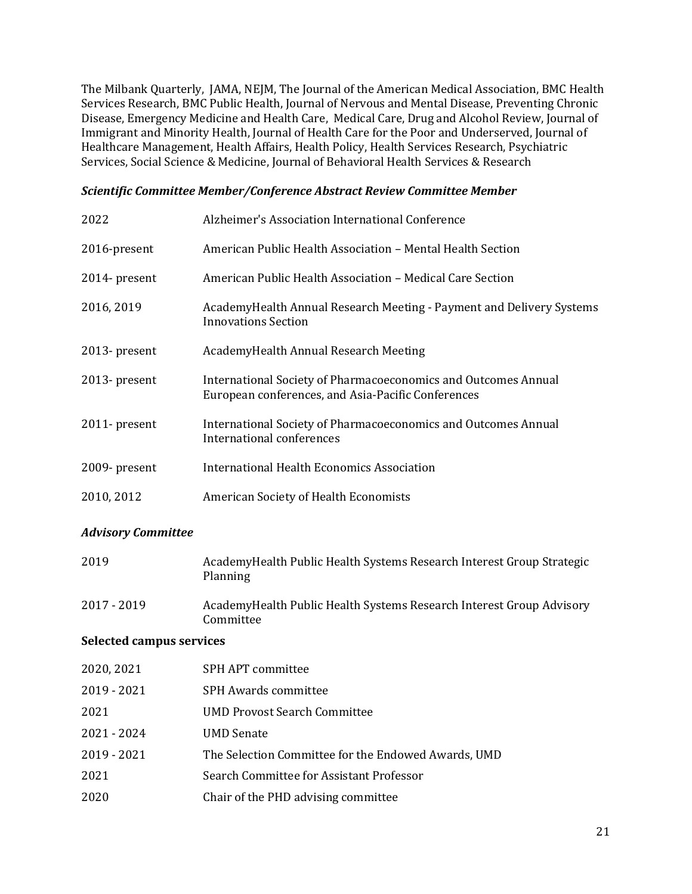The Milbank Quarterly, JAMA, NEJM, The Journal of the American Medical Association, BMC Health Services Research, BMC Public Health, Journal of Nervous and Mental Disease, Preventing Chronic Disease, Emergency Medicine and Health Care, Medical Care, Drug and Alcohol Review, Journal of Immigrant and Minority Health, Journal of Health Care for the Poor and Underserved, Journal of Healthcare Management, Health Affairs, Health Policy, Health Services Research, Psychiatric Services, Social Science & Medicine, Journal of Behavioral Health Services & Research

#### *Scientific Committee Member/Conference Abstract Review Committee Member*

| 2022          | Alzheimer's Association International Conference                                                                     |
|---------------|----------------------------------------------------------------------------------------------------------------------|
| 2016-present  | American Public Health Association - Mental Health Section                                                           |
| 2014- present | American Public Health Association - Medical Care Section                                                            |
| 2016, 2019    | AcademyHealth Annual Research Meeting - Payment and Delivery Systems<br><b>Innovations Section</b>                   |
| 2013- present | AcademyHealth Annual Research Meeting                                                                                |
| 2013- present | International Society of Pharmacoeconomics and Outcomes Annual<br>European conferences, and Asia-Pacific Conferences |
| 2011- present | International Society of Pharmacoeconomics and Outcomes Annual<br>International conferences                          |
| 2009- present | <b>International Health Economics Association</b>                                                                    |
| 2010, 2012    | American Society of Health Economists                                                                                |

## *Advisory Committee*

| 2019                            | Academy Health Public Health Systems Research Interest Group Strategic<br>Planning |  |
|---------------------------------|------------------------------------------------------------------------------------|--|
| 2017 - 2019                     | Academy Health Public Health Systems Research Interest Group Advisory<br>Committee |  |
| <b>Selected campus services</b> |                                                                                    |  |
| 2020, 2021                      | SPH APT committee                                                                  |  |
| $2019 - 2021$                   | <b>SPH Awards committee</b>                                                        |  |
| 2021                            | <b>UMD Provost Search Committee</b>                                                |  |
| 2021 - 2024                     | <b>UMD</b> Senate                                                                  |  |
| 2019 - 2021                     | The Selection Committee for the Endowed Awards, UMD                                |  |

- 
- 2021 Search Committee for Assistant Professor
- 2020 Chair of the PHD advising committee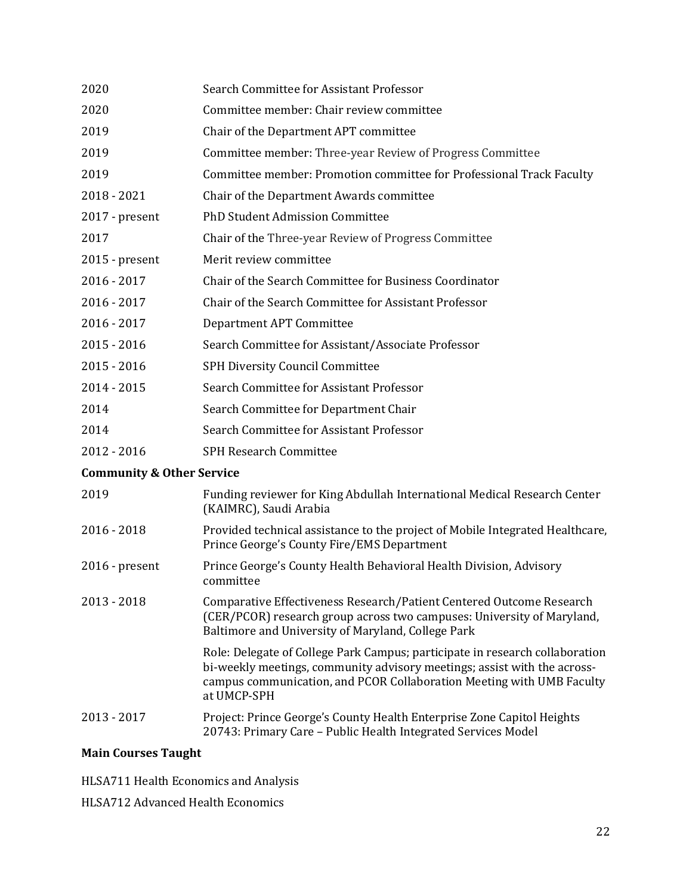| 2020                                 | Search Committee for Assistant Professor                                                                                                                                                                                                         |
|--------------------------------------|--------------------------------------------------------------------------------------------------------------------------------------------------------------------------------------------------------------------------------------------------|
| 2020                                 | Committee member: Chair review committee                                                                                                                                                                                                         |
| 2019                                 | Chair of the Department APT committee                                                                                                                                                                                                            |
| 2019                                 | Committee member: Three-year Review of Progress Committee                                                                                                                                                                                        |
| 2019                                 | Committee member: Promotion committee for Professional Track Faculty                                                                                                                                                                             |
| $2018 - 2021$                        | Chair of the Department Awards committee                                                                                                                                                                                                         |
| 2017 - present                       | PhD Student Admission Committee                                                                                                                                                                                                                  |
| 2017                                 | Chair of the Three-year Review of Progress Committee                                                                                                                                                                                             |
| $2015$ - present                     | Merit review committee                                                                                                                                                                                                                           |
| $2016 - 2017$                        | Chair of the Search Committee for Business Coordinator                                                                                                                                                                                           |
| $2016 - 2017$                        | Chair of the Search Committee for Assistant Professor                                                                                                                                                                                            |
| $2016 - 2017$                        | Department APT Committee                                                                                                                                                                                                                         |
| $2015 - 2016$                        | Search Committee for Assistant/Associate Professor                                                                                                                                                                                               |
| $2015 - 2016$                        | SPH Diversity Council Committee                                                                                                                                                                                                                  |
| 2014 - 2015                          | Search Committee for Assistant Professor                                                                                                                                                                                                         |
| 2014                                 | Search Committee for Department Chair                                                                                                                                                                                                            |
| 2014                                 | Search Committee for Assistant Professor                                                                                                                                                                                                         |
| 2012 - 2016                          | <b>SPH Research Committee</b>                                                                                                                                                                                                                    |
| <b>Community &amp; Other Service</b> |                                                                                                                                                                                                                                                  |
| 2019                                 | Funding reviewer for King Abdullah International Medical Research Center<br>(KAIMRC), Saudi Arabia                                                                                                                                               |
| $2016 - 2018$                        | Provided technical assistance to the project of Mobile Integrated Healthcare,<br>Prince George's County Fire/EMS Department                                                                                                                      |
| $2016$ - present                     | Prince George's County Health Behavioral Health Division, Advisory<br>committee                                                                                                                                                                  |
| $2013 - 2018$                        | Comparative Effectiveness Research/Patient Centered Outcome Research<br>(CER/PCOR) research group across two campuses: University of Maryland,<br>Baltimore and University of Maryland, College Park                                             |
|                                      | Role: Delegate of College Park Campus; participate in research collaboration<br>bi-weekly meetings, community advisory meetings; assist with the across-<br>campus communication, and PCOR Collaboration Meeting with UMB Faculty<br>at UMCP-SPH |
| 2013 - 2017                          | Project: Prince George's County Health Enterprise Zone Capitol Heights<br>20743: Primary Care - Public Health Integrated Services Model                                                                                                          |

# **Main Courses Taught**

HLSA711 Health Economics and Analysis

HLSA712 Advanced Health Economics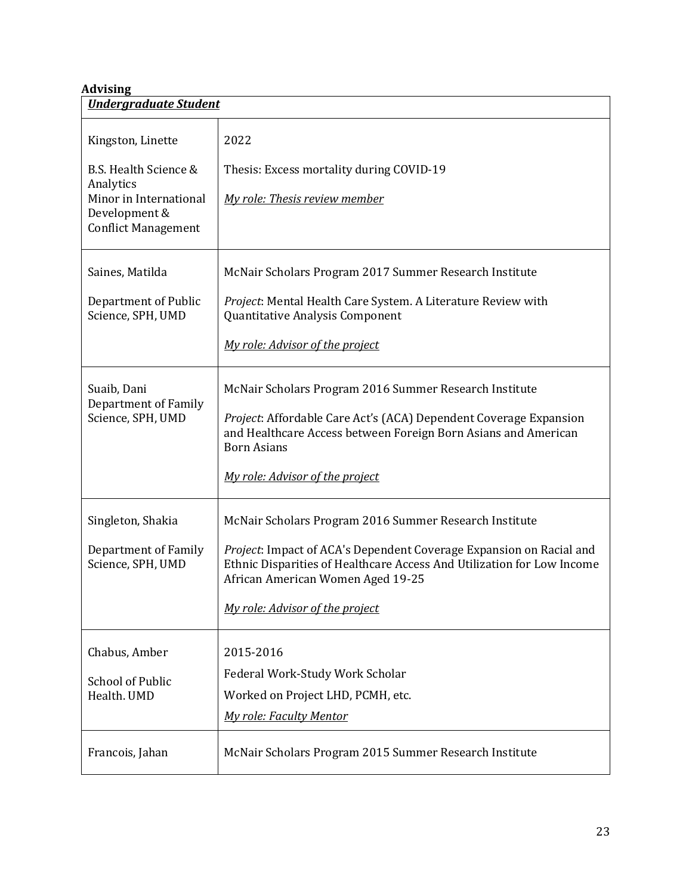# **Advising**

| <b>Undergraduate Student</b>                                                                                                     |                                                                                                                                                                                                                                                                                 |  |
|----------------------------------------------------------------------------------------------------------------------------------|---------------------------------------------------------------------------------------------------------------------------------------------------------------------------------------------------------------------------------------------------------------------------------|--|
| Kingston, Linette<br>B.S. Health Science &<br>Analytics<br>Minor in International<br>Development &<br><b>Conflict Management</b> | 2022<br>Thesis: Excess mortality during COVID-19<br>My role: Thesis review member                                                                                                                                                                                               |  |
| Saines, Matilda<br>Department of Public<br>Science, SPH, UMD                                                                     | McNair Scholars Program 2017 Summer Research Institute<br>Project: Mental Health Care System. A Literature Review with<br>Quantitative Analysis Component<br>My role: Advisor of the project                                                                                    |  |
| Suaib, Dani<br><b>Department of Family</b><br>Science, SPH, UMD                                                                  | McNair Scholars Program 2016 Summer Research Institute<br>Project: Affordable Care Act's (ACA) Dependent Coverage Expansion<br>and Healthcare Access between Foreign Born Asians and American<br><b>Born Asians</b><br>My role: Advisor of the project                          |  |
| Singleton, Shakia<br>Department of Family<br>Science, SPH, UMD                                                                   | McNair Scholars Program 2016 Summer Research Institute<br>Project: Impact of ACA's Dependent Coverage Expansion on Racial and<br>Ethnic Disparities of Healthcare Access And Utilization for Low Income<br>African American Women Aged 19-25<br>My role: Advisor of the project |  |
| Chabus, Amber<br><b>School of Public</b><br>Health. UMD                                                                          | 2015-2016<br>Federal Work-Study Work Scholar<br>Worked on Project LHD, PCMH, etc.<br><b>My role: Faculty Mentor</b>                                                                                                                                                             |  |
| Francois, Jahan                                                                                                                  | McNair Scholars Program 2015 Summer Research Institute                                                                                                                                                                                                                          |  |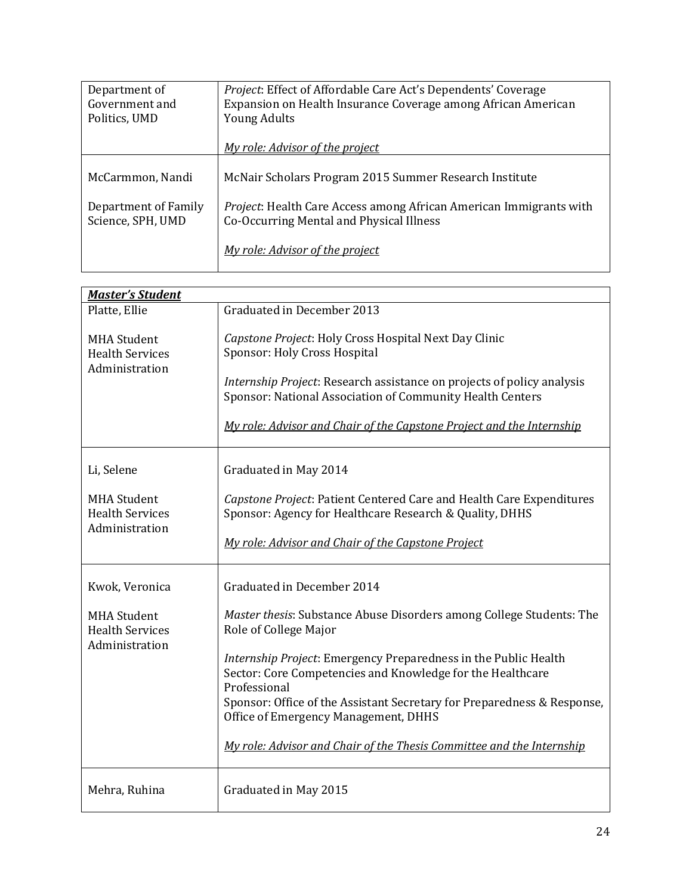| Department of        | Project: Effect of Affordable Care Act's Dependents' Coverage              |
|----------------------|----------------------------------------------------------------------------|
| Government and       | Expansion on Health Insurance Coverage among African American              |
| Politics, UMD        | <b>Young Adults</b>                                                        |
|                      |                                                                            |
|                      | My role: Advisor of the project                                            |
|                      |                                                                            |
| McCarmmon, Nandi     | McNair Scholars Program 2015 Summer Research Institute                     |
|                      |                                                                            |
| Department of Family | <i>Project</i> : Health Care Access among African American Immigrants with |
| Science, SPH, UMD    | Co-Occurring Mental and Physical Illness                                   |
|                      |                                                                            |
|                      | My role: Advisor of the project                                            |
|                      |                                                                            |

| <b>Master's Student</b>                                                          |                                                                                                                                                                                                                                                                                                                                                                                                                                                                          |
|----------------------------------------------------------------------------------|--------------------------------------------------------------------------------------------------------------------------------------------------------------------------------------------------------------------------------------------------------------------------------------------------------------------------------------------------------------------------------------------------------------------------------------------------------------------------|
| Platte, Ellie                                                                    | Graduated in December 2013                                                                                                                                                                                                                                                                                                                                                                                                                                               |
| <b>MHA Student</b><br><b>Health Services</b><br>Administration                   | Capstone Project: Holy Cross Hospital Next Day Clinic<br>Sponsor: Holy Cross Hospital<br>Internship Project: Research assistance on projects of policy analysis<br>Sponsor: National Association of Community Health Centers<br>My role: Advisor and Chair of the Capstone Project and the Internship                                                                                                                                                                    |
| Li, Selene<br><b>MHA Student</b><br><b>Health Services</b><br>Administration     | Graduated in May 2014<br>Capstone Project: Patient Centered Care and Health Care Expenditures<br>Sponsor: Agency for Healthcare Research & Quality, DHHS<br>My role: Advisor and Chair of the Capstone Project                                                                                                                                                                                                                                                           |
| Kwok, Veronica<br><b>MHA Student</b><br><b>Health Services</b><br>Administration | Graduated in December 2014<br>Master thesis: Substance Abuse Disorders among College Students: The<br>Role of College Major<br>Internship Project: Emergency Preparedness in the Public Health<br>Sector: Core Competencies and Knowledge for the Healthcare<br>Professional<br>Sponsor: Office of the Assistant Secretary for Preparedness & Response,<br>Office of Emergency Management, DHHS<br>My role: Advisor and Chair of the Thesis Committee and the Internship |
| Mehra, Ruhina                                                                    | Graduated in May 2015                                                                                                                                                                                                                                                                                                                                                                                                                                                    |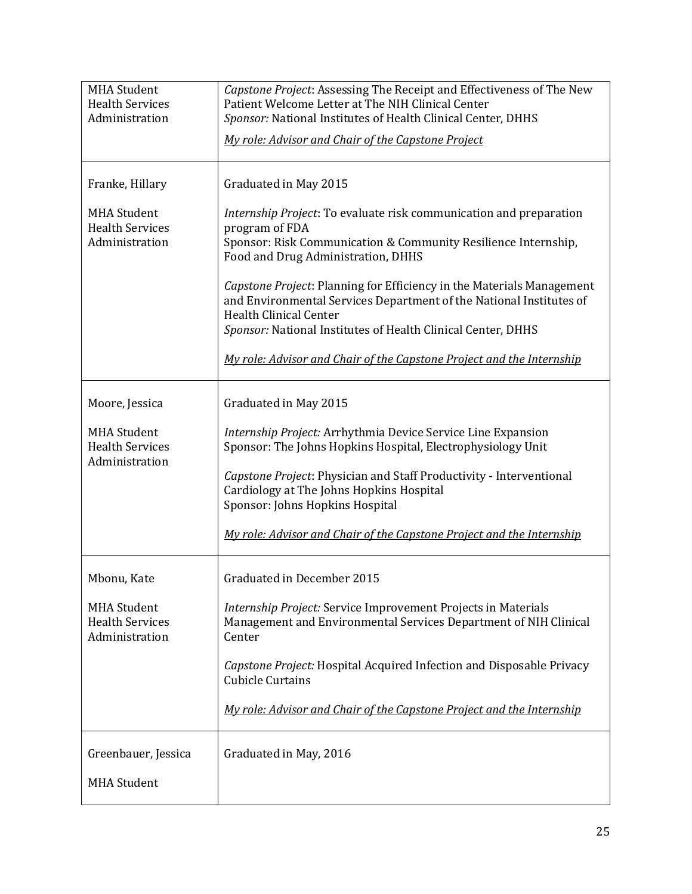| <b>MHA Student</b><br><b>Health Services</b><br>Administration | Capstone Project: Assessing The Receipt and Effectiveness of The New<br>Patient Welcome Letter at The NIH Clinical Center<br>Sponsor: National Institutes of Health Clinical Center, DHHS                                                     |
|----------------------------------------------------------------|-----------------------------------------------------------------------------------------------------------------------------------------------------------------------------------------------------------------------------------------------|
|                                                                | My role: Advisor and Chair of the Capstone Project                                                                                                                                                                                            |
| Franke, Hillary                                                | Graduated in May 2015                                                                                                                                                                                                                         |
| <b>MHA Student</b><br><b>Health Services</b><br>Administration | Internship Project: To evaluate risk communication and preparation<br>program of FDA<br>Sponsor: Risk Communication & Community Resilience Internship,<br>Food and Drug Administration, DHHS                                                  |
|                                                                | Capstone Project: Planning for Efficiency in the Materials Management<br>and Environmental Services Department of the National Institutes of<br><b>Health Clinical Center</b><br>Sponsor: National Institutes of Health Clinical Center, DHHS |
|                                                                | My role: Advisor and Chair of the Capstone Project and the Internship                                                                                                                                                                         |
| Moore, Jessica                                                 | Graduated in May 2015                                                                                                                                                                                                                         |
| <b>MHA Student</b><br><b>Health Services</b><br>Administration | Internship Project: Arrhythmia Device Service Line Expansion<br>Sponsor: The Johns Hopkins Hospital, Electrophysiology Unit                                                                                                                   |
|                                                                | Capstone Project: Physician and Staff Productivity - Interventional<br>Cardiology at The Johns Hopkins Hospital<br>Sponsor: Johns Hopkins Hospital                                                                                            |
|                                                                | My role: Advisor and Chair of the Capstone Project and the Internship                                                                                                                                                                         |
| Mbonu, Kate                                                    | Graduated in December 2015                                                                                                                                                                                                                    |
| <b>MHA Student</b><br><b>Health Services</b><br>Administration | Internship Project: Service Improvement Projects in Materials<br>Management and Environmental Services Department of NIH Clinical<br>Center                                                                                                   |
|                                                                | Capstone Project: Hospital Acquired Infection and Disposable Privacy<br><b>Cubicle Curtains</b>                                                                                                                                               |
|                                                                | My role: Advisor and Chair of the Capstone Project and the Internship                                                                                                                                                                         |
| Greenbauer, Jessica<br><b>MHA Student</b>                      | Graduated in May, 2016                                                                                                                                                                                                                        |
|                                                                |                                                                                                                                                                                                                                               |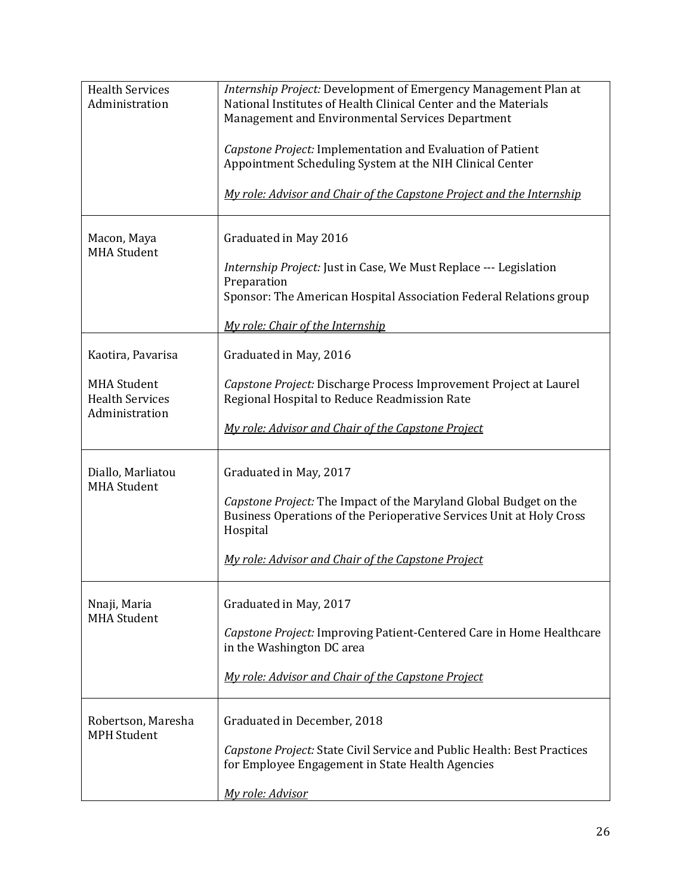| <b>Health Services</b><br>Administration                                            | Internship Project: Development of Emergency Management Plan at<br>National Institutes of Health Clinical Center and the Materials<br>Management and Environmental Services Department<br>Capstone Project: Implementation and Evaluation of Patient<br>Appointment Scheduling System at the NIH Clinical Center<br>My role: Advisor and Chair of the Capstone Project and the Internship |
|-------------------------------------------------------------------------------------|-------------------------------------------------------------------------------------------------------------------------------------------------------------------------------------------------------------------------------------------------------------------------------------------------------------------------------------------------------------------------------------------|
| Macon, Maya<br><b>MHA Student</b>                                                   | Graduated in May 2016<br>Internship Project: Just in Case, We Must Replace --- Legislation<br>Preparation<br>Sponsor: The American Hospital Association Federal Relations group<br>My role: Chair of the Internship                                                                                                                                                                       |
| Kaotira, Pavarisa<br><b>MHA Student</b><br><b>Health Services</b><br>Administration | Graduated in May, 2016<br>Capstone Project: Discharge Process Improvement Project at Laurel<br>Regional Hospital to Reduce Readmission Rate<br>My role: Advisor and Chair of the Capstone Project                                                                                                                                                                                         |
| Diallo, Marliatou<br><b>MHA Student</b>                                             | Graduated in May, 2017<br>Capstone Project: The Impact of the Maryland Global Budget on the<br>Business Operations of the Perioperative Services Unit at Holy Cross<br>Hospital<br>My role: Advisor and Chair of the Capstone Project                                                                                                                                                     |
| Nnaji, Maria<br><b>MHA Student</b>                                                  | Graduated in May, 2017<br>Capstone Project: Improving Patient-Centered Care in Home Healthcare<br>in the Washington DC area<br>My role: Advisor and Chair of the Capstone Project                                                                                                                                                                                                         |
| Robertson, Maresha<br><b>MPH Student</b>                                            | Graduated in December, 2018<br>Capstone Project: State Civil Service and Public Health: Best Practices<br>for Employee Engagement in State Health Agencies<br>My role: Advisor                                                                                                                                                                                                            |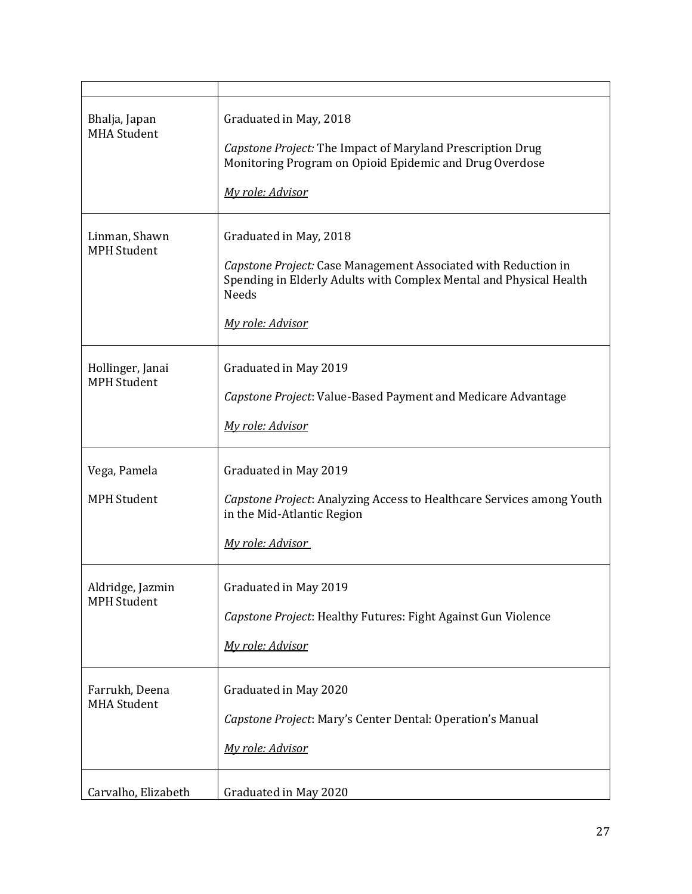| Bhalja, Japan<br><b>MHA Student</b>    | Graduated in May, 2018<br>Capstone Project: The Impact of Maryland Prescription Drug<br>Monitoring Program on Opioid Epidemic and Drug Overdose<br>My role: Advisor                                |
|----------------------------------------|----------------------------------------------------------------------------------------------------------------------------------------------------------------------------------------------------|
| Linman, Shawn<br><b>MPH Student</b>    | Graduated in May, 2018<br>Capstone Project: Case Management Associated with Reduction in<br>Spending in Elderly Adults with Complex Mental and Physical Health<br><b>Needs</b><br>My role: Advisor |
| Hollinger, Janai<br><b>MPH Student</b> | Graduated in May 2019<br>Capstone Project: Value-Based Payment and Medicare Advantage<br>My role: Advisor                                                                                          |
| Vega, Pamela<br><b>MPH Student</b>     | Graduated in May 2019<br>Capstone Project: Analyzing Access to Healthcare Services among Youth<br>in the Mid-Atlantic Region<br>My role: Advisor                                                   |
| Aldridge, Jazmin<br><b>MPH Student</b> | Graduated in May 2019<br>Capstone Project: Healthy Futures: Fight Against Gun Violence<br>My role: Advisor                                                                                         |
| Farrukh, Deena<br><b>MHA Student</b>   | Graduated in May 2020<br>Capstone Project: Mary's Center Dental: Operation's Manual<br>My role: Advisor                                                                                            |
| Carvalho, Elizabeth                    | Graduated in May 2020                                                                                                                                                                              |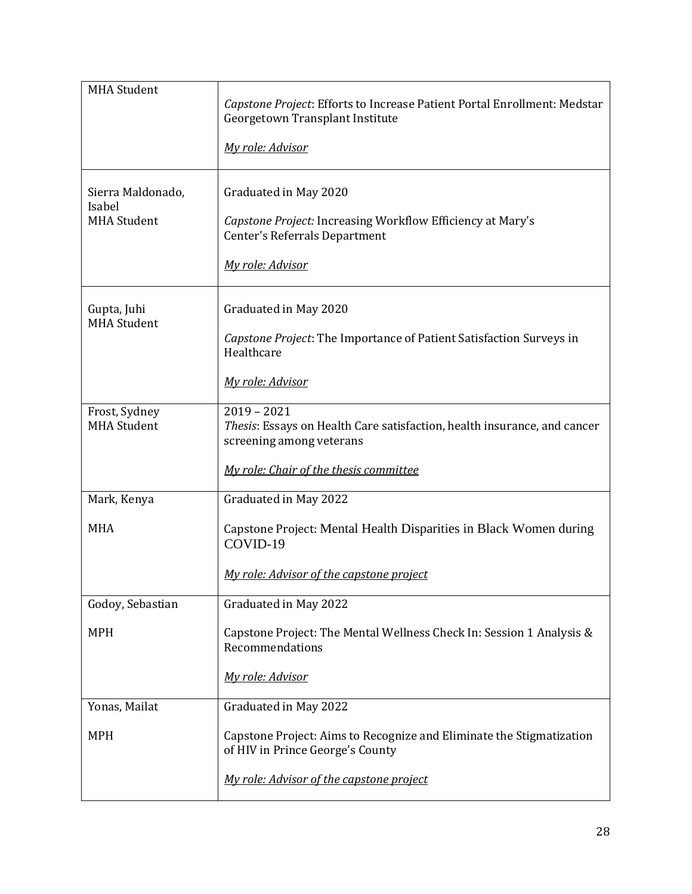| <b>MHA Student</b>                  | Capstone Project: Efforts to Increase Patient Portal Enrollment: Medstar<br>Georgetown Transplant Institute           |
|-------------------------------------|-----------------------------------------------------------------------------------------------------------------------|
|                                     | My role: Advisor                                                                                                      |
| Sierra Maldonado,<br>Isabel         | Graduated in May 2020                                                                                                 |
| <b>MHA Student</b>                  | Capstone Project: Increasing Workflow Efficiency at Mary's<br>Center's Referrals Department                           |
|                                     | My role: Advisor                                                                                                      |
| Gupta, Juhi<br><b>MHA Student</b>   | Graduated in May 2020                                                                                                 |
|                                     | Capstone Project: The Importance of Patient Satisfaction Surveys in<br>Healthcare                                     |
|                                     | My role: Advisor                                                                                                      |
| Frost, Sydney<br><b>MHA Student</b> | $2019 - 2021$<br>Thesis: Essays on Health Care satisfaction, health insurance, and cancer<br>screening among veterans |
|                                     | My role: Chair of the thesis committee                                                                                |
| Mark, Kenya                         | Graduated in May 2022                                                                                                 |
| <b>MHA</b>                          | Capstone Project: Mental Health Disparities in Black Women during<br>COVID-19                                         |
|                                     | My role: Advisor of the capstone project                                                                              |
| Godoy, Sebastian                    | Graduated in May 2022                                                                                                 |
| <b>MPH</b>                          | Capstone Project: The Mental Wellness Check In: Session 1 Analysis &<br>Recommendations                               |
|                                     | My role: Advisor                                                                                                      |
| Yonas, Mailat                       | Graduated in May 2022                                                                                                 |
| <b>MPH</b>                          | Capstone Project: Aims to Recognize and Eliminate the Stigmatization<br>of HIV in Prince George's County              |
|                                     | My role: Advisor of the capstone project                                                                              |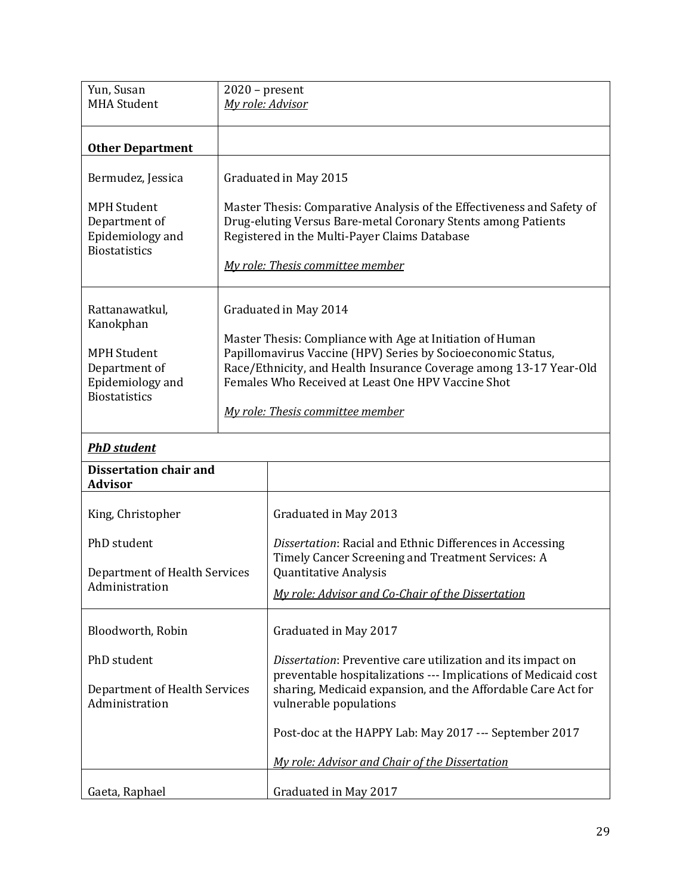| Yun, Susan<br><b>MHA Student</b>                                                                               | $2020$ – present<br>My role: Advisor                                                                                                                                                                                                                                                                               |                                                                                                                                                                                                                              |
|----------------------------------------------------------------------------------------------------------------|--------------------------------------------------------------------------------------------------------------------------------------------------------------------------------------------------------------------------------------------------------------------------------------------------------------------|------------------------------------------------------------------------------------------------------------------------------------------------------------------------------------------------------------------------------|
| <b>Other Department</b>                                                                                        |                                                                                                                                                                                                                                                                                                                    |                                                                                                                                                                                                                              |
| Bermudez, Jessica                                                                                              |                                                                                                                                                                                                                                                                                                                    | Graduated in May 2015                                                                                                                                                                                                        |
| <b>MPH Student</b><br>Department of<br>Epidemiology and<br><b>Biostatistics</b>                                |                                                                                                                                                                                                                                                                                                                    | Master Thesis: Comparative Analysis of the Effectiveness and Safety of<br>Drug-eluting Versus Bare-metal Coronary Stents among Patients<br>Registered in the Multi-Payer Claims Database<br>My role: Thesis committee member |
| Rattanawatkul,<br>Kanokphan<br><b>MPH Student</b><br>Department of<br>Epidemiology and<br><b>Biostatistics</b> | Graduated in May 2014<br>Master Thesis: Compliance with Age at Initiation of Human<br>Papillomavirus Vaccine (HPV) Series by Socioeconomic Status,<br>Race/Ethnicity, and Health Insurance Coverage among 13-17 Year-Old<br>Females Who Received at Least One HPV Vaccine Shot<br>My role: Thesis committee member |                                                                                                                                                                                                                              |
| <b>PhD</b> student                                                                                             |                                                                                                                                                                                                                                                                                                                    |                                                                                                                                                                                                                              |
| <b>Dissertation chair and</b><br><b>Advisor</b>                                                                |                                                                                                                                                                                                                                                                                                                    |                                                                                                                                                                                                                              |
| King, Christopher                                                                                              |                                                                                                                                                                                                                                                                                                                    | Graduated in May 2013                                                                                                                                                                                                        |
| PhD student<br>Department of Health Services<br>Administration                                                 |                                                                                                                                                                                                                                                                                                                    | Dissertation: Racial and Ethnic Differences in Accessing<br>Timely Cancer Screening and Treatment Services: A<br>Quantitative Analysis<br>My role: Advisor and Co-Chair of the Dissertation                                  |
| Bloodworth, Robin                                                                                              |                                                                                                                                                                                                                                                                                                                    | Graduated in May 2017                                                                                                                                                                                                        |
| PhD student<br>Department of Health Services<br>Administration                                                 |                                                                                                                                                                                                                                                                                                                    | Dissertation: Preventive care utilization and its impact on<br>preventable hospitalizations --- Implications of Medicaid cost<br>sharing, Medicaid expansion, and the Affordable Care Act for<br>vulnerable populations      |
|                                                                                                                |                                                                                                                                                                                                                                                                                                                    | Post-doc at the HAPPY Lab: May 2017 --- September 2017                                                                                                                                                                       |
|                                                                                                                |                                                                                                                                                                                                                                                                                                                    | My role: Advisor and Chair of the Dissertation                                                                                                                                                                               |
| Gaeta, Raphael                                                                                                 |                                                                                                                                                                                                                                                                                                                    | Graduated in May 2017                                                                                                                                                                                                        |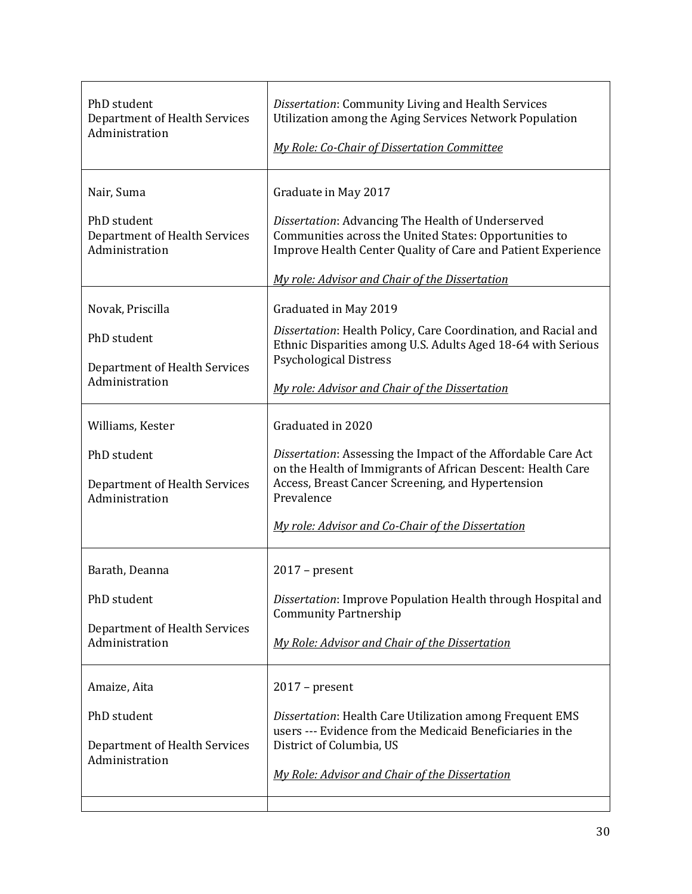| PhD student<br>Department of Health Services<br>Administration                                         | Dissertation: Community Living and Health Services<br>Utilization among the Aging Services Network Population<br><b>My Role: Co-Chair of Dissertation Committee</b>                                                                                             |
|--------------------------------------------------------------------------------------------------------|-----------------------------------------------------------------------------------------------------------------------------------------------------------------------------------------------------------------------------------------------------------------|
| Nair, Suma<br>PhD student<br>Department of Health Services<br>Administration                           | Graduate in May 2017<br>Dissertation: Advancing The Health of Underserved<br>Communities across the United States: Opportunities to<br>Improve Health Center Quality of Care and Patient Experience<br>My role: Advisor and Chair of the Dissertation           |
| Novak, Priscilla<br>PhD student<br>Department of Health Services<br>Administration<br>Williams, Kester | Graduated in May 2019<br>Dissertation: Health Policy, Care Coordination, and Racial and<br>Ethnic Disparities among U.S. Adults Aged 18-64 with Serious<br><b>Psychological Distress</b><br>My role: Advisor and Chair of the Dissertation<br>Graduated in 2020 |
| PhD student<br>Department of Health Services<br>Administration                                         | Dissertation: Assessing the Impact of the Affordable Care Act<br>on the Health of Immigrants of African Descent: Health Care<br>Access, Breast Cancer Screening, and Hypertension<br>Prevalence<br>My role: Advisor and Co-Chair of the Dissertation            |
| Barath, Deanna<br>PhD student<br>Department of Health Services<br>Administration                       | $2017$ – present<br>Dissertation: Improve Population Health through Hospital and<br><b>Community Partnership</b><br>My Role: Advisor and Chair of the Dissertation                                                                                              |
| Amaize, Aita<br>PhD student<br>Department of Health Services<br>Administration                         | $2017$ – present<br>Dissertation: Health Care Utilization among Frequent EMS<br>users --- Evidence from the Medicaid Beneficiaries in the<br>District of Columbia, US<br>My Role: Advisor and Chair of the Dissertation                                         |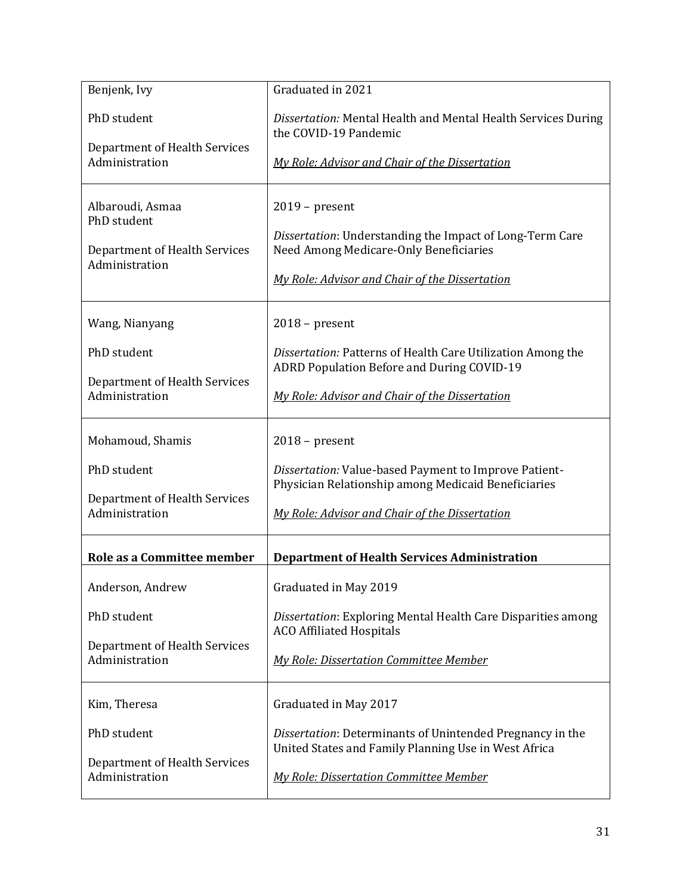| Benjenk, Ivy                                    | Graduated in 2021                                                                                                 |
|-------------------------------------------------|-------------------------------------------------------------------------------------------------------------------|
| PhD student                                     | Dissertation: Mental Health and Mental Health Services During<br>the COVID-19 Pandemic                            |
| Department of Health Services<br>Administration | My Role: Advisor and Chair of the Dissertation                                                                    |
| Albaroudi, Asmaa<br>PhD student                 | $2019$ – present<br>Dissertation: Understanding the Impact of Long-Term Care                                      |
| Department of Health Services<br>Administration | Need Among Medicare-Only Beneficiaries<br>My Role: Advisor and Chair of the Dissertation                          |
| Wang, Nianyang                                  | $2018$ – present                                                                                                  |
| PhD student                                     | Dissertation: Patterns of Health Care Utilization Among the<br>ADRD Population Before and During COVID-19         |
| Department of Health Services<br>Administration | My Role: Advisor and Chair of the Dissertation                                                                    |
| Mohamoud, Shamis                                | $2018$ – present                                                                                                  |
| PhD student                                     | Dissertation: Value-based Payment to Improve Patient-<br>Physician Relationship among Medicaid Beneficiaries      |
| Department of Health Services<br>Administration | My Role: Advisor and Chair of the Dissertation                                                                    |
| Role as a Committee member                      | <b>Department of Health Services Administration</b>                                                               |
| Anderson, Andrew                                | Graduated in May 2019                                                                                             |
| PhD student                                     | Dissertation: Exploring Mental Health Care Disparities among<br><b>ACO Affiliated Hospitals</b>                   |
| Department of Health Services<br>Administration | <b>My Role: Dissertation Committee Member</b>                                                                     |
| Kim, Theresa                                    | Graduated in May 2017                                                                                             |
| PhD student                                     | Dissertation: Determinants of Unintended Pregnancy in the<br>United States and Family Planning Use in West Africa |
| Department of Health Services<br>Administration | <b>My Role: Dissertation Committee Member</b>                                                                     |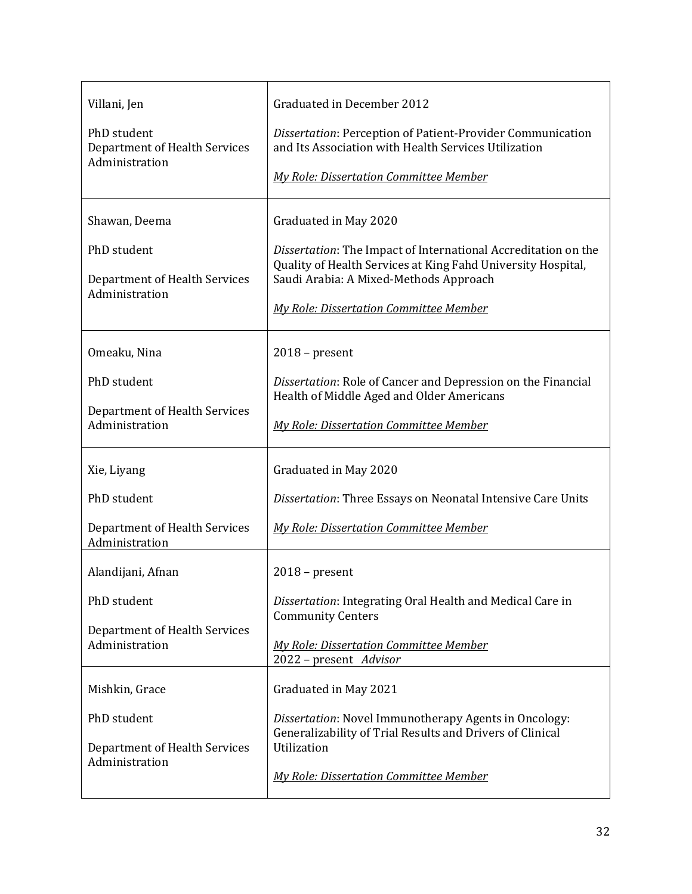| Villani, Jen<br>PhD student<br><b>Department of Health Services</b><br>Administration | Graduated in December 2012<br>Dissertation: Perception of Patient-Provider Communication<br>and Its Association with Health Services Utilization<br><b>My Role: Dissertation Committee Member</b>                                                  |
|---------------------------------------------------------------------------------------|----------------------------------------------------------------------------------------------------------------------------------------------------------------------------------------------------------------------------------------------------|
| Shawan, Deema<br>PhD student<br>Department of Health Services<br>Administration       | Graduated in May 2020<br>Dissertation: The Impact of International Accreditation on the<br>Quality of Health Services at King Fahd University Hospital,<br>Saudi Arabia: A Mixed-Methods Approach<br><b>My Role: Dissertation Committee Member</b> |
| Omeaku, Nina<br>PhD student<br>Department of Health Services<br>Administration        | $2018$ – present<br>Dissertation: Role of Cancer and Depression on the Financial<br>Health of Middle Aged and Older Americans<br><b>My Role: Dissertation Committee Member</b>                                                                     |
| Xie, Liyang<br>PhD student<br>Department of Health Services<br>Administration         | Graduated in May 2020<br>Dissertation: Three Essays on Neonatal Intensive Care Units<br><b>My Role: Dissertation Committee Member</b>                                                                                                              |
| Alandijani, Afnan<br>PhD student<br>Department of Health Services<br>Administration   | $2018$ – present<br>Dissertation: Integrating Oral Health and Medical Care in<br><b>Community Centers</b><br><b>My Role: Dissertation Committee Member</b><br>2022 - present Advisor                                                               |
| Mishkin, Grace<br>PhD student<br>Department of Health Services<br>Administration      | Graduated in May 2021<br>Dissertation: Novel Immunotherapy Agents in Oncology:<br>Generalizability of Trial Results and Drivers of Clinical<br>Utilization<br><b>My Role: Dissertation Committee Member</b>                                        |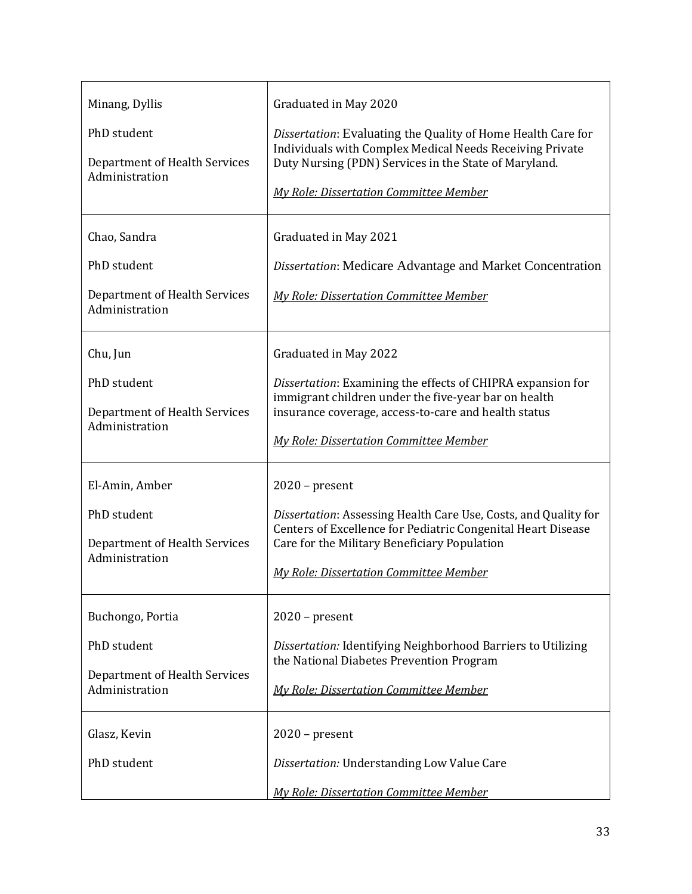| Minang, Dyllis<br>PhD student<br>Department of Health Services<br>Administration                                  | Graduated in May 2020<br>Dissertation: Evaluating the Quality of Home Health Care for<br>Individuals with Complex Medical Needs Receiving Private<br>Duty Nursing (PDN) Services in the State of Maryland.<br><b>My Role: Dissertation Committee Member</b> |
|-------------------------------------------------------------------------------------------------------------------|-------------------------------------------------------------------------------------------------------------------------------------------------------------------------------------------------------------------------------------------------------------|
| Chao, Sandra<br>PhD student<br>Department of Health Services<br>Administration                                    | Graduated in May 2021<br>Dissertation: Medicare Advantage and Market Concentration<br><b>My Role: Dissertation Committee Member</b>                                                                                                                         |
| Chu, Jun<br>PhD student<br>Department of Health Services<br>Administration                                        | Graduated in May 2022<br>Dissertation: Examining the effects of CHIPRA expansion for<br>immigrant children under the five-year bar on health<br>insurance coverage, access-to-care and health status<br><b>My Role: Dissertation Committee Member</b>       |
| El-Amin, Amber<br>PhD student<br>Department of Health Services<br>Administration                                  | $2020$ – present<br>Dissertation: Assessing Health Care Use, Costs, and Quality for<br>Centers of Excellence for Pediatric Congenital Heart Disease<br>Care for the Military Beneficiary Population<br><b>My Role: Dissertation Committee Member</b>        |
| Buchongo, Portia<br>PhD student<br>Department of Health Services<br>Administration<br>Glasz, Kevin<br>PhD student | $2020$ – present<br>Dissertation: Identifying Neighborhood Barriers to Utilizing<br>the National Diabetes Prevention Program<br><b>My Role: Dissertation Committee Member</b><br>$2020$ – present<br>Dissertation: Understanding Low Value Care             |
|                                                                                                                   | <b>My Role: Dissertation Committee Member</b>                                                                                                                                                                                                               |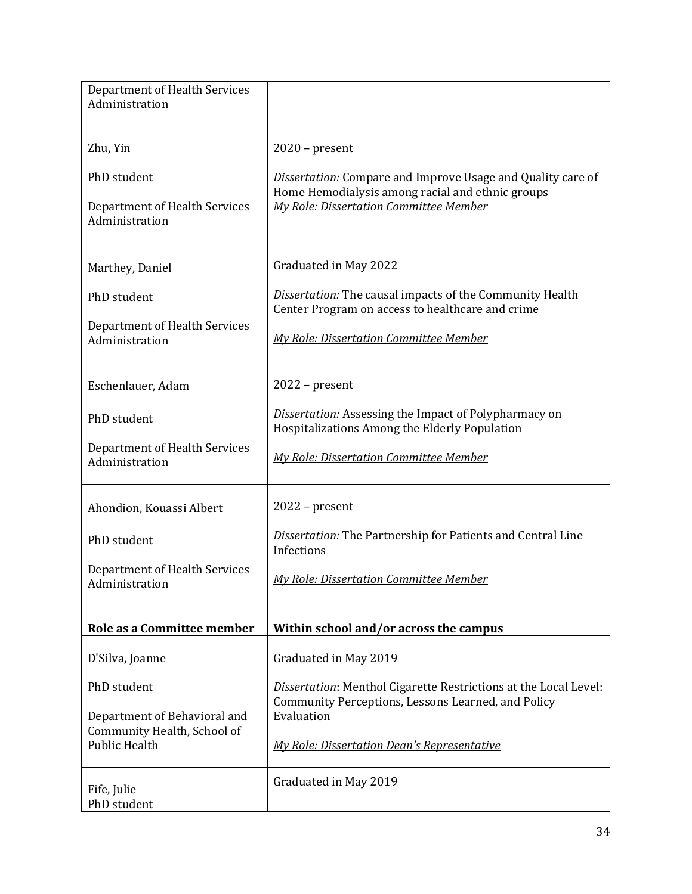| Department of Health Services<br>Administration     |                                                                                                                                      |
|-----------------------------------------------------|--------------------------------------------------------------------------------------------------------------------------------------|
| Zhu, Yin                                            | $2020$ – present                                                                                                                     |
| PhD student                                         | Dissertation: Compare and Improve Usage and Quality care of<br>Home Hemodialysis among racial and ethnic groups                      |
| Department of Health Services<br>Administration     | <b>My Role: Dissertation Committee Member</b>                                                                                        |
| Marthey, Daniel                                     | Graduated in May 2022                                                                                                                |
| PhD student                                         | Dissertation: The causal impacts of the Community Health<br>Center Program on access to healthcare and crime                         |
| Department of Health Services<br>Administration     | <b>My Role: Dissertation Committee Member</b>                                                                                        |
| Eschenlauer, Adam                                   | $2022$ – present                                                                                                                     |
| PhD student                                         | Dissertation: Assessing the Impact of Polypharmacy on<br>Hospitalizations Among the Elderly Population                               |
| Department of Health Services<br>Administration     | <b>My Role: Dissertation Committee Member</b>                                                                                        |
| Ahondion, Kouassi Albert                            | $2022$ – present                                                                                                                     |
| PhD student                                         | Dissertation: The Partnership for Patients and Central Line<br>Infections                                                            |
| Department of Health Services<br>Administration     | <b>My Role: Dissertation Committee Member</b>                                                                                        |
| Role as a Committee member                          | Within school and/or across the campus                                                                                               |
| D'Silva, Joanne                                     | Graduated in May 2019                                                                                                                |
| PhD student<br>Department of Behavioral and         | Dissertation: Menthol Cigarette Restrictions at the Local Level:<br>Community Perceptions, Lessons Learned, and Policy<br>Evaluation |
| Community Health, School of<br><b>Public Health</b> | My Role: Dissertation Dean's Representative                                                                                          |
| Fife, Julie<br>PhD student                          | Graduated in May 2019                                                                                                                |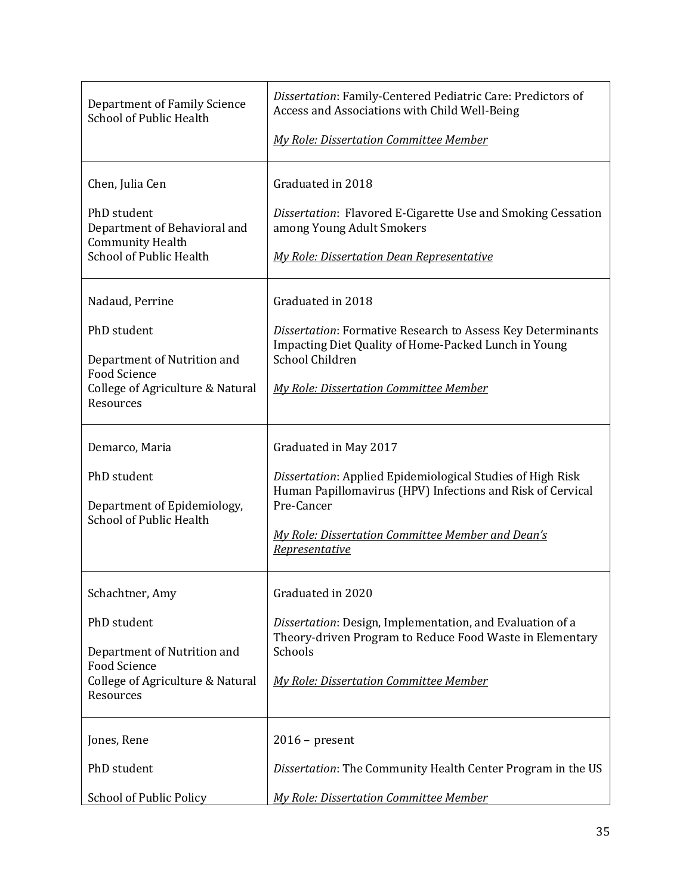| Department of Family Science<br><b>School of Public Health</b>                                                                        | Dissertation: Family-Centered Pediatric Care: Predictors of<br>Access and Associations with Child Well-Being<br><b>My Role: Dissertation Committee Member</b>                                                                          |
|---------------------------------------------------------------------------------------------------------------------------------------|----------------------------------------------------------------------------------------------------------------------------------------------------------------------------------------------------------------------------------------|
| Chen, Julia Cen<br>PhD student<br>Department of Behavioral and<br><b>Community Health</b><br><b>School of Public Health</b>           | Graduated in 2018<br>Dissertation: Flavored E-Cigarette Use and Smoking Cessation<br>among Young Adult Smokers<br><b>My Role: Dissertation Dean Representative</b>                                                                     |
| Nadaud, Perrine<br>PhD student<br>Department of Nutrition and<br><b>Food Science</b><br>College of Agriculture & Natural<br>Resources | Graduated in 2018<br>Dissertation: Formative Research to Assess Key Determinants<br>Impacting Diet Quality of Home-Packed Lunch in Young<br>School Children<br><b>My Role: Dissertation Committee Member</b>                           |
| Demarco, Maria<br>PhD student<br>Department of Epidemiology,<br><b>School of Public Health</b>                                        | Graduated in May 2017<br>Dissertation: Applied Epidemiological Studies of High Risk<br>Human Papillomavirus (HPV) Infections and Risk of Cervical<br>Pre-Cancer<br>My Role: Dissertation Committee Member and Dean's<br>Representative |
| Schachtner, Amy<br>PhD student<br>Department of Nutrition and<br><b>Food Science</b><br>College of Agriculture & Natural<br>Resources | Graduated in 2020<br>Dissertation: Design, Implementation, and Evaluation of a<br>Theory-driven Program to Reduce Food Waste in Elementary<br>Schools<br><b>My Role: Dissertation Committee Member</b>                                 |
| Jones, Rene<br>PhD student<br>School of Public Policy                                                                                 | $2016$ – present<br>Dissertation: The Community Health Center Program in the US<br>My Role: Dissertation Committee Member                                                                                                              |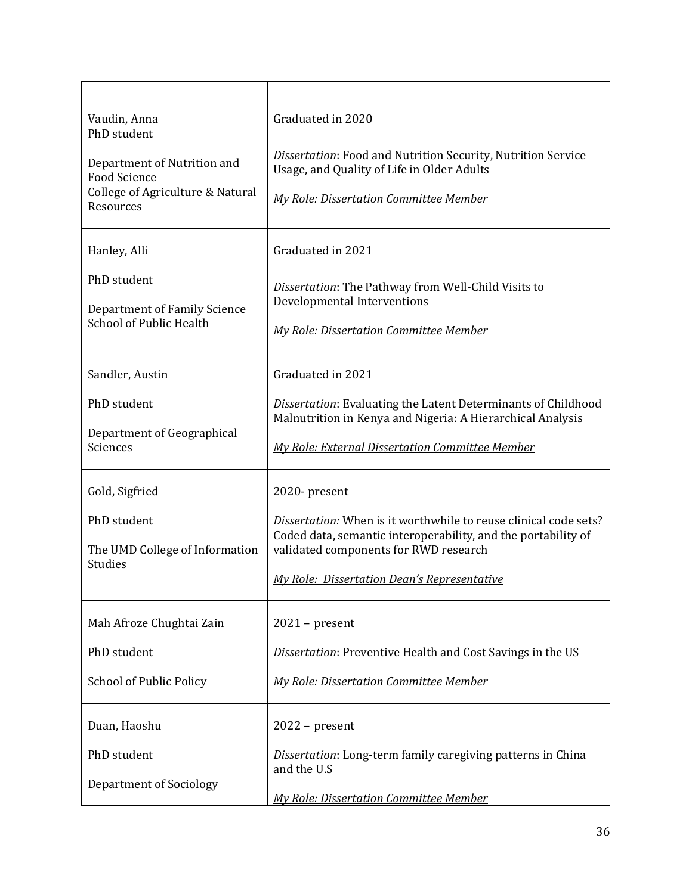| Vaudin, Anna<br>PhD student<br>Department of Nutrition and<br><b>Food Science</b><br>College of Agriculture & Natural<br>Resources | Graduated in 2020<br>Dissertation: Food and Nutrition Security, Nutrition Service<br>Usage, and Quality of Life in Older Adults<br><b>My Role: Dissertation Committee Member</b>                                                                 |
|------------------------------------------------------------------------------------------------------------------------------------|--------------------------------------------------------------------------------------------------------------------------------------------------------------------------------------------------------------------------------------------------|
| Hanley, Alli<br>PhD student<br>Department of Family Science<br><b>School of Public Health</b>                                      | Graduated in 2021<br>Dissertation: The Pathway from Well-Child Visits to<br>Developmental Interventions<br><b>My Role: Dissertation Committee Member</b>                                                                                         |
| Sandler, Austin<br>PhD student<br>Department of Geographical<br>Sciences                                                           | Graduated in 2021<br>Dissertation: Evaluating the Latent Determinants of Childhood<br>Malnutrition in Kenya and Nigeria: A Hierarchical Analysis<br><b>My Role: External Dissertation Committee Member</b>                                       |
| Gold, Sigfried<br>PhD student<br>The UMD College of Information<br><b>Studies</b>                                                  | 2020-present<br>Dissertation: When is it worthwhile to reuse clinical code sets?<br>Coded data, semantic interoperability, and the portability of<br>validated components for RWD research<br><b>My Role: Dissertation Dean's Representative</b> |
| Mah Afroze Chughtai Zain<br>PhD student<br><b>School of Public Policy</b>                                                          | $2021$ – present<br>Dissertation: Preventive Health and Cost Savings in the US<br><b>My Role: Dissertation Committee Member</b>                                                                                                                  |
| Duan, Haoshu<br>PhD student<br><b>Department of Sociology</b>                                                                      | $2022$ – present<br>Dissertation: Long-term family caregiving patterns in China<br>and the U.S<br><b>My Role: Dissertation Committee Member</b>                                                                                                  |